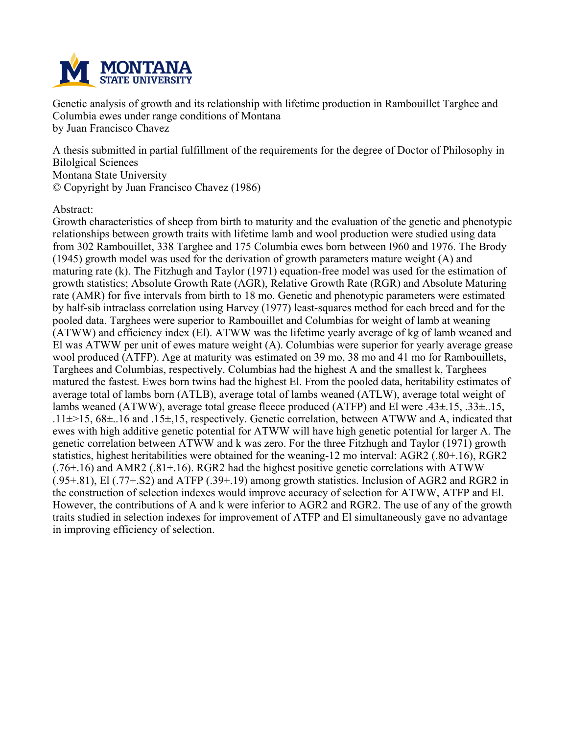

**Genetic analysis of growth and its relationship with lifetime production in Rambouillet Targhee and Columbia ewes under range conditions of Montana by Juan Francisco Chavez**

**A thesis submitted in partial fulfillment of the requirements for the degree of Doctor of Philosophy in Bilolgical Sciences Montana State University © Copyright by Juan Francisco Chavez (1986)**

## **Abstract:**

**Growth characteristics of sheep from birth to maturity and the evaluation of the genetic and phenotypic relationships between growth traits with lifetime lamb and wool production were studied using data from 302 Rambouillet, 338 Targhee and 175 Columbia ewes born between I960 and 1976. The Brody (1945) growth model was used for the derivation of growth parameters mature weight (A) and maturing rate (k). The Fitzhugh and Taylor (1971) equation-free model was used for the estimation of growth statistics; Absolute Growth Rate (AGR), Relative Growth Rate (RGR) and Absolute Maturing rate (AMR) for five intervals from birth to 18 mo. Genetic and phenotypic parameters were estimated by half-sib intraclass correlation using Harvey (1977) least-squares method for each breed and for the pooled data. Targhees were superior to Rambouillet and Columbias for weight of lamb at weaning (ATWW) and efficiency index (El). ATWW was the lifetime yearly average of kg of lamb weaned and El was ATWW per unit of ewes mature weight (A). Columbias were superior for yearly average grease wool produced (ATFP). Age at maturity was estimated on 39 mo, 38 mo and 41 mo for Rambouillets, Targhees and Columbias, respectively. Columbias had the highest A and the smallest k, Targhees matured the fastest. Ewes born twins had the highest El. From the pooled data, heritability estimates of average total of lambs born (ATLB), average total of lambs weaned (ATLW), average total weight of lambs weaned (ATWW), average total grease fleece produced (ATFP) and El were .43±.15, .33±..15, .11±>15, 68±..16 and .15±,15, respectively. Genetic correlation, between ATWW and A, indicated that ewes with high additive genetic potential for ATWW will have high genetic potential for larger A. The genetic correlation between ATWW and k was zero. For the three Fitzhugh and Taylor (1971) growth statistics, highest heritabilities were obtained for the weaning-12 mo interval: AGR2 (.80+.16), RGR2 (.76+.16) and AMR2 (.81+.16). RGR2 had the highest positive genetic correlations with ATWW (.95+.81), El (.77+.S2) and ATFP (.39+.19) among growth statistics. Inclusion of AGR2 and RGR2 in the construction of selection indexes would improve accuracy of selection for ATWW, ATFP and El.** However, the contributions of A and k were inferior to AGR2 and RGR2. The use of any of the growth **traits studied in selection indexes for improvement of ATFP and El simultaneously gave no advantage in improving efficiency of selection.**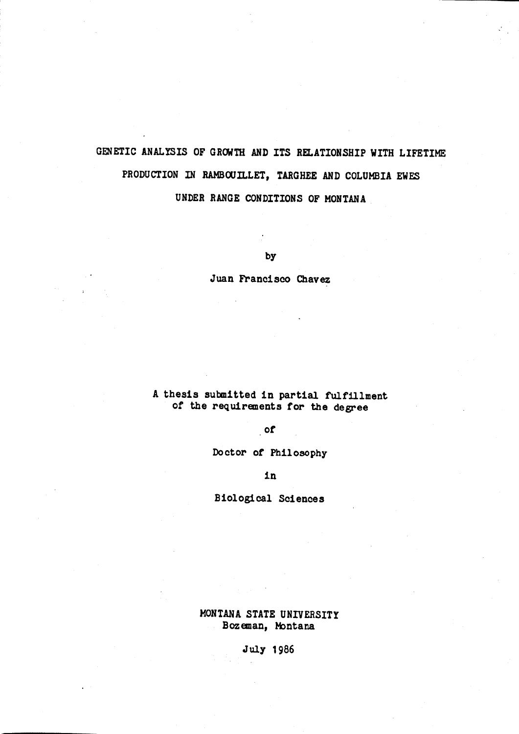# GENETIC ANALYSIS OF GROWTH AND ITS RELATIONSHIP WITH LIFETIME PRODUCTION IN RAMBOUILLET, TARGHEE AND COLUMBIA EWES UNDER RANGE CONDITIONS OF MONTANA

by

Juan Francisco Chavez

## A thesis submitted in partial fulfillment of the requirements for the degree

 $of$ 

Doctor of Philosophy

in

**Biological Sciences** 

MONTANA STATE UNIVERSITY Bozeman, Montana

July 1986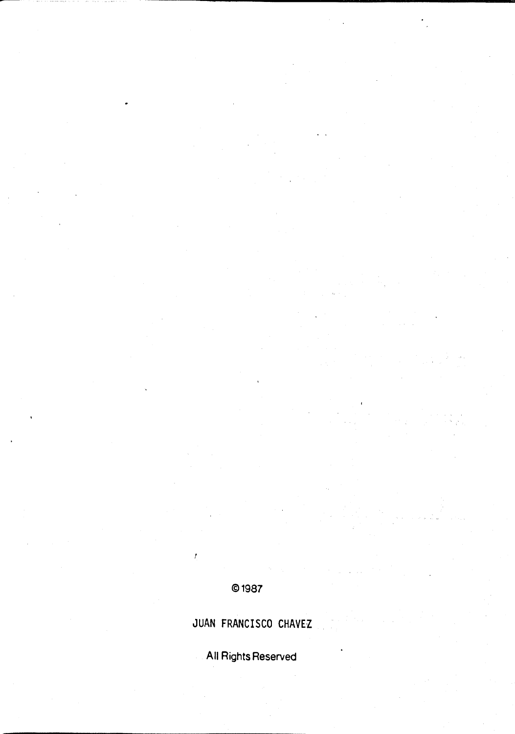# © 1987

 $\bar{t}$ 

# JUAN FRANCISCO CHAVEZ

All Rights Reserved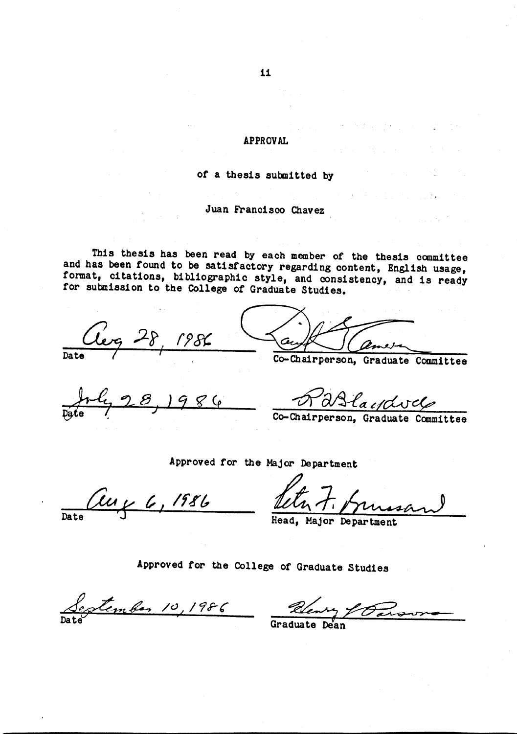## **APPROVAL**

## of a thesis submitted by

## Juan Francisco Chavez

This thesis has been read by each member of the thesis committee and has been found to be satisfactory regarding content, English usage, format, citations, bibliographic style, and consistency, and is ready for submission to the College of Graduate Studies.

leg 28, 1986

Consirperson,

Graduate Committee

 $986$ 

Dalayavel

Approved for the Major Department

Cury 6, 1986  $\overline{\mathbf{D}}$ ate

Major Department Head.

Approved for the College of Graduate Studies

September 10, 1986 Deury & Parson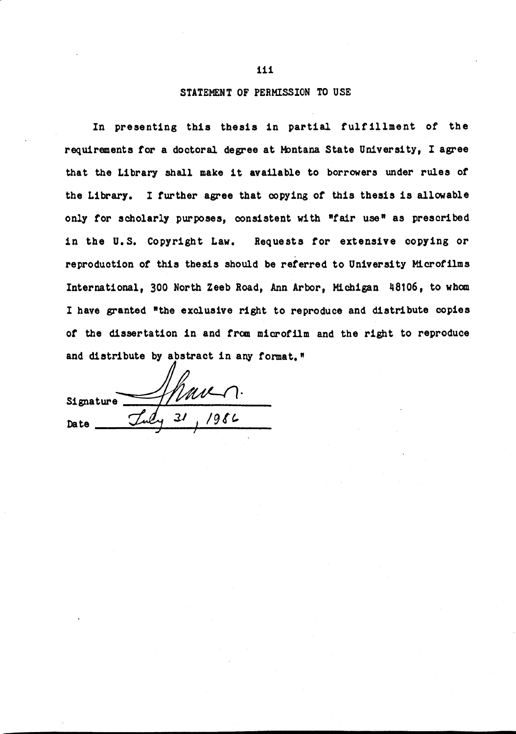#### STATEMENT OF PERMISSION TO USE

In presenting this thesis in partial fulfillment of the requirements for a doctoral degree at Montana State University, I agree that the Library shall make it available to borrowers under rules of the Library. I further agree that copying of this thesis is allowable only for scholarly purposes, consistent with "fair use" as prescribed in the U.S. Copyright Law. Requests for extensive copying or reproduction of this thesis should be referred to University Microfilms International, 300 North Zeeb Road, Ann Arbor, Michigan 48106, to whom I have granted "the exclusive right to reproduce and distribute copies of the dissertation in and from microfilm and the right to reproduce and distribute by abstract in any format."

 $1/100 - 1.$ Signature **Date**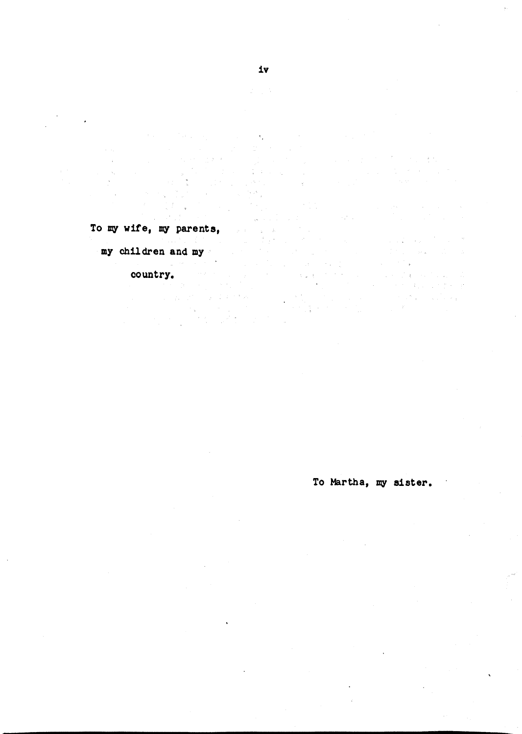To my wife, my parents,

my children and my  $\frac{1}{\left\| \mathbf{a}^{\mathcal{A}}_{\mathbf{a}}\right\|_{\mathcal{L}^{2}}}\leq \frac{1}{\left\| \mathbf{a}^{\mathcal{A}}_{\mathbf{a}}\right\|_{\mathcal{L}^{2}}}\leq \frac{1}{\left\| \mathbf{a}^{\mathcal{A}}_{\mathbf{a}}\right\|_{\mathcal{L}^{2}}}\leq \frac{1}{\left\| \mathbf{a}^{\mathcal{A}}_{\mathbf{a}}\right\|_{\mathcal{L}^{2}}}\leq \frac{1}{\left\| \mathbf{a}^{\mathcal{A}}_{\mathbf{a}}\right\|_{\math$ 

 $\mathcal{L}$ 

country. The country,

 $\mathcal{L}_{\rm{max}}$  ,  $\mathcal{L}_{\rm{max}}$ 

To Martha, my sister.

 $\label{eq:3.1} \mathcal{F}(\mathcal{F}) = \mathcal{F}(\mathcal{F}) = \mathcal{F}(\mathcal{F})$ 

 $\label{eq:2.1} \frac{1}{\sqrt{2\pi}}\int_{0}^{\infty} \frac{1}{\sqrt{2\pi}}\left( \frac{1}{\sqrt{2\pi}}\right) \frac{1}{\sqrt{2\pi}}\frac{1}{\sqrt{2\pi}}\int_{0}^{\infty} \frac{1}{\sqrt{2\pi}}\frac{1}{\sqrt{2\pi}}\frac{1}{\sqrt{2\pi}}\frac{1}{\sqrt{2\pi}}\frac{1}{\sqrt{2\pi}}\frac{1}{\sqrt{2\pi}}\frac{1}{\sqrt{2\pi}}\frac{1}{\sqrt{2\pi}}\frac{1}{\sqrt{2\pi}}\frac{1}{\sqrt{2\pi}}\frac{1}{$ 

 $\mathbf{r}$ 

**Controller State** 

ti<br>San San S  $\label{eq:3.1} \mathcal{A}_{\lambda}(\mathbf{x}) = \mathcal{A}(\mathbf{x}^{\mathbf{x}}) + \mathcal{A}(\mathbf{x}^{\mathbf{x}})$ 

 $\mathcal{L}_{\rm eff}$ 

 $\mathcal{L}(\mathcal{A})$  ,  $\mathcal{L}(\mathcal{A})$  , and

 $\mathcal{L}^{\text{max}}$  ,  $\mathcal{L}$ 

 $\lambda_{\rm{B}}$ 

and the

 $\mathcal{A}_1$ 

 $\bar{A}_i$ 

 $\sim$ 

 $\bar{\bar{\nu}}$ 

 $\tau = \sqrt{1-\tau}$ 

 $\Delta=1$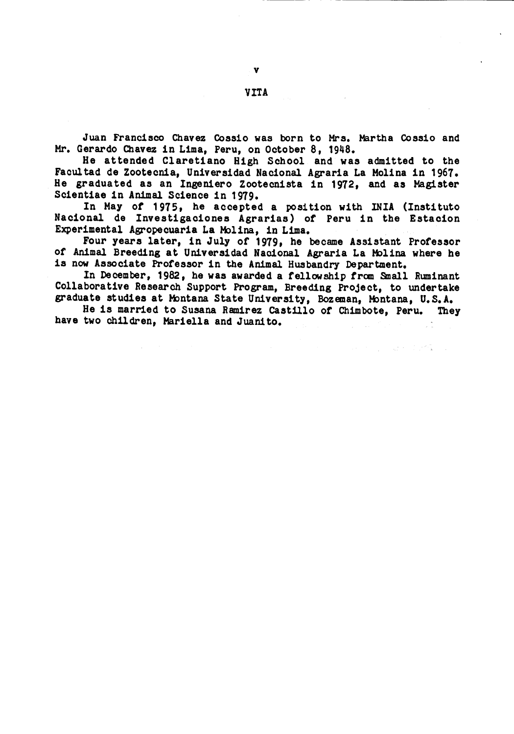Juan Francisco Chavez Cossio was born to Mrs. Martha Cossio and Mr. Gerardo Chavez in Lima, Peru, on October 8, 1948.

He attended Claretiano High School and was admitted to the Facultad de Zootecnia, Universidad Nacional Agraria La Molina in 1967. He graduated as an Ingeniero Zootecnista in 1972, and as Magister Scientiae in Animal Science in 1979.

In May of 1975, he accepted a position with INIA (Instituto Nacional de Investigaciones Agrarias) of Peru in the Estacion Experimental Agropecuaria La Molina, in Lima.

Four years later, in July of 1979, he became Assistant Professor of Animal Breeding at Universidad Nacional Agraria La Molina where he is now Associate Professor in the Animal Husbandry Department.

In December, 1982, he was awarded a fellowship from Small Ruminant Collaborative Research Support Program, Breeding Project, to undertake graduate studies at Montana State University, Bozeman, Montana, U.S.A.

He is married to Susana Ramirez Castillo of Chimbote, Peru. They have two children, Mariella and Juanito.

 $\label{eq:2.1} \mathcal{F}(\mathcal{F}) = \mathcal{F}(\mathcal{F}) = \mathcal{F}(\mathcal{F}) = \mathcal{F}(\mathcal{F}) = \mathcal{F}(\mathcal{F})$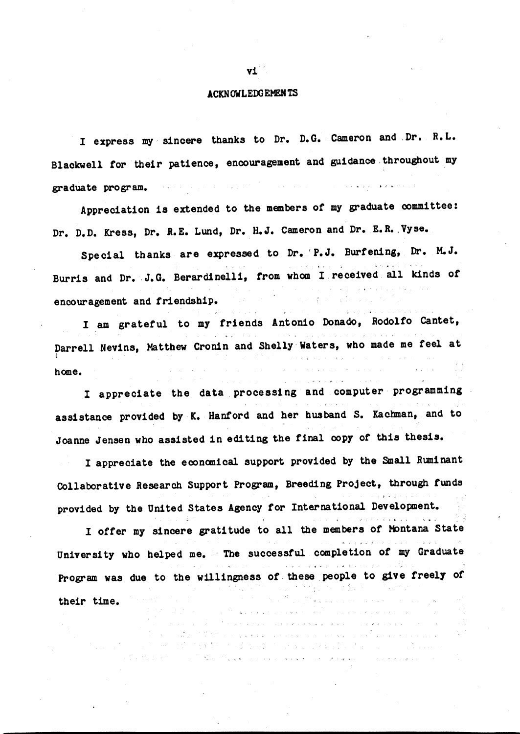#### **ACKNOWLEDGEMENTS**

I express my sincere thanks to Dr. D.G. Cameron and Dr. R.L. Blackwell for their patience, encouragement and guidance throughout my graduate program.

Appreciation is extended to the members of my graduate committee: Dr. D.D. Kress, Dr. R.E. Lund, Dr. H.J. Cameron and Dr. E.R. Vyse.

Special thanks are expressed to Dr. P.J. Burfening, Dr. M.J. Burris and Dr. J.G. Berardinelli, from whom I received all kinds of encouragement and friendship.

I am grateful to my friends Antonio Donado, Rodolfo Cantet, Darrell Nevins, Matthew Cronin and Shelly Waters, who made me feel at home.

I appreciate the data processing and computer programming assistance provided by K. Hanford and her husband S. Kachman, and to Joanne Jensen who assisted in editing the final copy of this thesis.

I appreciate the economical support provided by the Small Ruminant Collaborative Research Support Program, Breeding Project, through funds provided by the United States Agency for International Development.

I offer my sincere gratitude to all the members of Montana State University who helped me. The successful completion of my Graduate Program was due to the willingness of these people to give freely of k in angli  $\label{eq:1} \hat{S} = \hat{S} \hat{S} + \hat{S} \hat{S} + \hat{S} \hat{S} + \hat{S} \hat{S}$ their time. ing a straight and

 $\mathcal{F}_{\mathcal{A}}$  ,  $\mathcal{A}_{\mathcal{A}}$  , and  $\mathcal{A}_{\mathcal{A}}$  , and  $\mathcal{A}_{\mathcal{A}}$ 

 $\Delta_{\rm{max}}$  , and  $\Delta_{\rm{max}}$ 

不可见。<br>1990年10月10日,我国最重要的,在中国中国人民中国公司中国的人民中国人民中国中国中国人民政府

计相关数据 计分类 医异类 计可分布 医马格里氏反应 医白色的 and a strategic and the state

#### v1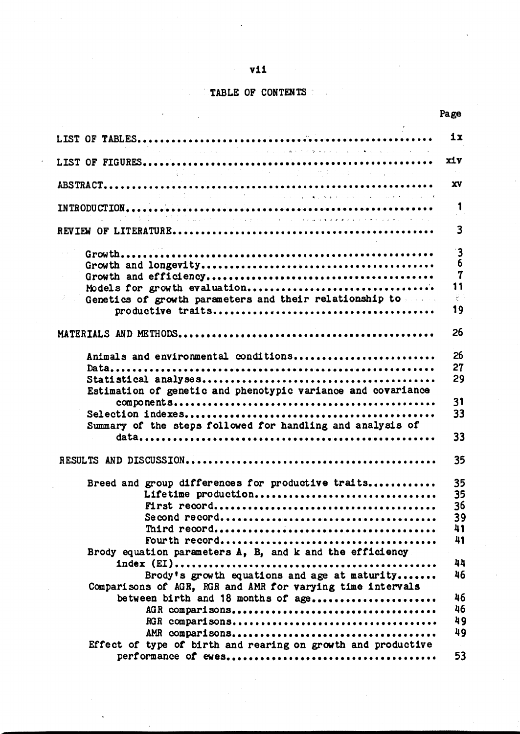## $v11$

## TABLE OF CONTENTS

|                                                                                                                                                                                                                                                  | ix                                                       |  |
|--------------------------------------------------------------------------------------------------------------------------------------------------------------------------------------------------------------------------------------------------|----------------------------------------------------------|--|
| $\mathcal{L}^{\mathcal{L}}_{\mathcal{L}}$ is a subset of the set of the set of the set of the set of the set of the set of the set of the set of the set of the set of the set of the set of the set of the set of the set of the set of the set | XIY                                                      |  |
|                                                                                                                                                                                                                                                  | XV.                                                      |  |
| .<br>Проблемата се през одним се примерени на намирание се през 19                                                                                                                                                                               |                                                          |  |
|                                                                                                                                                                                                                                                  | 3                                                        |  |
|                                                                                                                                                                                                                                                  |                                                          |  |
|                                                                                                                                                                                                                                                  |                                                          |  |
| Models for growth evaluation<br>Genetics of growth parameters and their relationship to                                                                                                                                                          | 11<br>$\frac{1}{2} \sum_{i=1}^n \frac{1}{i} \frac{1}{i}$ |  |
|                                                                                                                                                                                                                                                  | 19                                                       |  |
|                                                                                                                                                                                                                                                  | 26                                                       |  |
| Animals and environmental conditions                                                                                                                                                                                                             | 26                                                       |  |
|                                                                                                                                                                                                                                                  | 27<br>29                                                 |  |
| Estimation of genetic and phenotypic variance and covariance                                                                                                                                                                                     |                                                          |  |
|                                                                                                                                                                                                                                                  | 31<br>33                                                 |  |
| Summary of the steps followed for handling and analysis of                                                                                                                                                                                       | 33                                                       |  |
|                                                                                                                                                                                                                                                  |                                                          |  |
|                                                                                                                                                                                                                                                  | 35                                                       |  |
| Breed and group differences for productive traits<br>Lifetime production                                                                                                                                                                         | 35<br>35                                                 |  |
|                                                                                                                                                                                                                                                  | 36                                                       |  |
|                                                                                                                                                                                                                                                  | 39<br>41                                                 |  |
| Brody equation parameters A, B, and k and the efficiency                                                                                                                                                                                         |                                                          |  |
| $index (EI) \dots \dots \dots \dots \dots \dots \dots \dots \dots \dots \dots \dots \dots \dots \dots \dots \dots \dots$                                                                                                                         | 44                                                       |  |
| Brody's growth equations and age at maturity<br>Comparisons of AGR, RGR and AMR for varying time intervals                                                                                                                                       | 46                                                       |  |
| between birth and 18 months of age                                                                                                                                                                                                               | 46<br>46                                                 |  |
|                                                                                                                                                                                                                                                  | 49                                                       |  |
| Effect of type of birth and rearing on growth and productive                                                                                                                                                                                     | 49<br>$\sim$                                             |  |
|                                                                                                                                                                                                                                                  | 53                                                       |  |

Page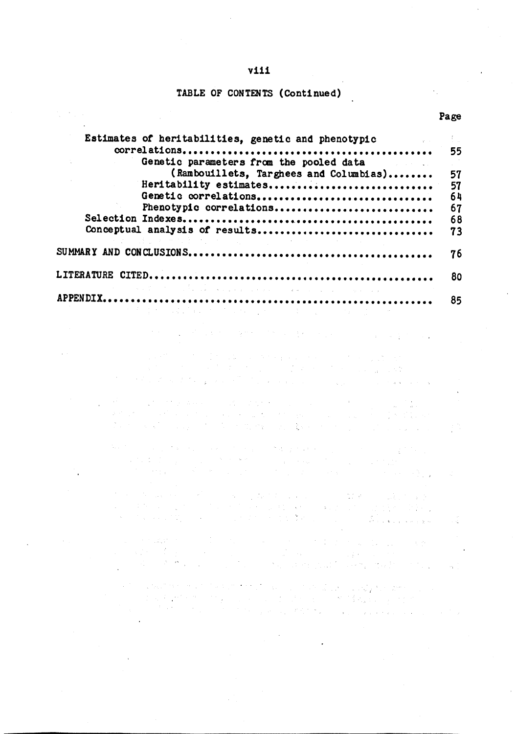#### v111

### TABLE OF CONTENTS (Continued)

 $\label{eq:2.1} \frac{1}{\sqrt{2}}\left(\frac{1}{\sqrt{2}}\right)^2\left(\frac{1}{\sqrt{2}}\right)^2\left(\frac{1}{\sqrt{2}}\right)^2.$ 

 $\sim$ 

 $\overline{\phantom{a}}$ 

 $\sim 10^{-11}$ 

 $\epsilon_{\rm{1}}$ 

**Carl Additional** 

| Estimates of heritabilities, genetic and phenotypic and the setting of the setting of the setting setting of the setting of the setting of the setting of the setting of the setting of the setting of the setting of the sett |     |
|--------------------------------------------------------------------------------------------------------------------------------------------------------------------------------------------------------------------------------|-----|
|                                                                                                                                                                                                                                |     |
| Genetic parameters from the pooled data<br>and the property of the                                                                                                                                                             |     |
| (Rambouillets, Targhees and Columbias)                                                                                                                                                                                         |     |
| Heritability estimates                                                                                                                                                                                                         | 57  |
| Genetic correlations                                                                                                                                                                                                           | -64 |
| Phenotypic correlations                                                                                                                                                                                                        | 67  |
|                                                                                                                                                                                                                                | 68  |
| Conceptual analysis of results                                                                                                                                                                                                 | 73  |
| はいしまし わせなま けいせいしょういい                                                                                                                                                                                                           |     |
|                                                                                                                                                                                                                                | 76  |
|                                                                                                                                                                                                                                |     |
|                                                                                                                                                                                                                                | -80 |
| 1999年,1999年,1999年,1999年,1999年,1999年,1999年,1999年,1999年,1999年,1999年,1999年,1999年,1999年,1999年,1999年,1999                                                                                                                           |     |
|                                                                                                                                                                                                                                | 85  |
|                                                                                                                                                                                                                                |     |

**这些人的是一个人的人的变化。这些人的是不少的是** 

 $\label{eq:2} \begin{split} \mathcal{L}_{\mathcal{A}}(\mathcal{A}^{\mathcal{A}}_{\mathcal{A}}) & = \mathcal{L}_{\mathcal{A}}(\mathcal{A}^{\mathcal{A}}_{\mathcal{A}}) + \mathcal{L}_{\mathcal{A}}(\mathcal{A}^{\mathcal{A}}_{\mathcal{A}}) + \mathcal{L}_{\mathcal{A}}(\mathcal{A}^{\mathcal{A}}_{\mathcal{A}}) + \mathcal{L}_{\mathcal{A}}(\mathcal{A}^{\mathcal{A}}_{\mathcal{A}}) \\ & = \mathcal{L}_{\mathcal{A}}(\mathcal{A}^{\mathcal{A}}_{\mathcal{A}}) + \$ a sa mga balang ng kalamatang ng kalamatang ng kalamatang ng kalamatang ng kalamatang ng kalamatang ng kalamat<br>Mga pangalang ng kalamatang ng kalamatang ng kalamatang ng kalamatang ng kalamatang ng kalamatang na pangalang

- 
- $\label{eq:2} \mathcal{L}^{\text{max}}(\mathcal{L}^{\text{max}}_{\text{max}},\mathcal{L}^{\text{max}}_{\text{max}})$ 
	-

 $\frac{1}{2}$ 

 $\mathcal{A}^{\mathcal{A}}_{\mathcal{A}^{\mathcal{A}}}$ 

a sa Tanggarang Kabupatèn Tanggaran Kabupatèn Sulawa Tanggarang Kabupatèn Sulawa Sulawa Indonesia.<br>Tanggaran di kacamatèn Panggarang Kabupatèn Sulawa Tanggaran Panggarang Kabupatèn Panggarang Panggaran Indones<br>Panggaran Pa  $\sim 10^{-11}$ 

 $\ddot{\phantom{a}}$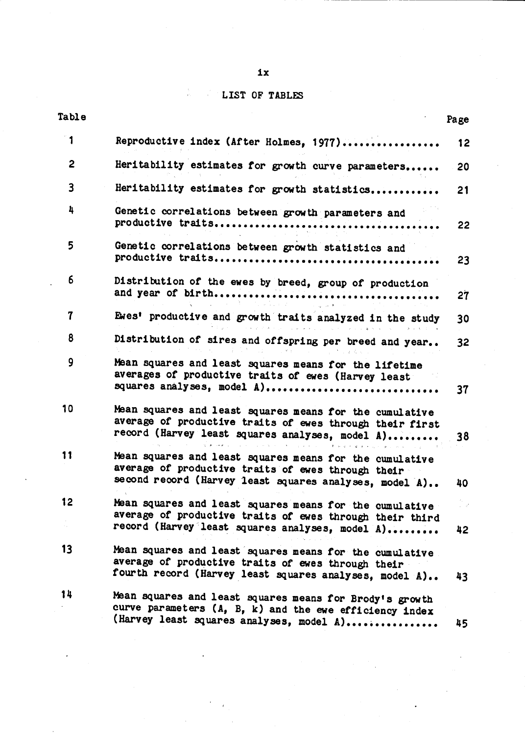#### √, LIST 0.

 $\frac{3}{4\pi}$  .

| Table                   |                                                                                                                                                                                                                                                                                                                                                                                                                                                                                                                                            | Page                   |  |
|-------------------------|--------------------------------------------------------------------------------------------------------------------------------------------------------------------------------------------------------------------------------------------------------------------------------------------------------------------------------------------------------------------------------------------------------------------------------------------------------------------------------------------------------------------------------------------|------------------------|--|
| 1                       | Reproductive index (After Holmes, 1977)                                                                                                                                                                                                                                                                                                                                                                                                                                                                                                    | 12                     |  |
| $\overline{2}$          | Heritability estimates for growth curve parameters                                                                                                                                                                                                                                                                                                                                                                                                                                                                                         | 20                     |  |
| $\overline{\mathbf{3}}$ | Heritability estimates for growth statistics                                                                                                                                                                                                                                                                                                                                                                                                                                                                                               | 21                     |  |
| 4                       | Genetic correlations between growth parameters and                                                                                                                                                                                                                                                                                                                                                                                                                                                                                         | 22                     |  |
| 5                       | Genetic correlations between growth statistics and                                                                                                                                                                                                                                                                                                                                                                                                                                                                                         | 23                     |  |
| 6                       | Distribution of the ewes by breed, group of production<br>and the second control of the second control of the second control of the second control of the second control of the second control of the second control of the second control of the second control of the second control o                                                                                                                                                                                                                                                   | 27                     |  |
| 7                       | Ewes' productive and growth traits analyzed in the study                                                                                                                                                                                                                                                                                                                                                                                                                                                                                   | 30                     |  |
| 8                       | $\label{eq:2.1} \mathcal{L}^{\prime}(\Phi_{\mathcal{A}}\otimes\Phi_{\mathcal{A}}\otimes\mathcal{L}^{\prime})=\mathcal{L}^{\prime}(\mathcal{A}^{\prime})\otimes\mathcal{L}^{\prime}(\mathcal{A}^{\prime})\otimes\mathcal{L}^{\prime}(\mathcal{A}^{\prime})\otimes\mathcal{L}^{\prime}(\mathcal{A}^{\prime})\otimes\mathcal{L}^{\prime}(\mathcal{A}^{\prime})\otimes\mathcal{L}^{\prime}(\mathcal{A}^{\prime})\otimes\mathcal{L}^{\prime}(\mathcal{A}^{\prime})\otimes\mathcal{L}$<br>Distribution of sires and offspring per breed and year | 32                     |  |
| 9                       | Mean squares and least squares means for the lifetime<br>averages of productive traits of ewes (Harvey least<br>squares analyses, model A)                                                                                                                                                                                                                                                                                                                                                                                                 | 37                     |  |
| 10 <sub>1</sub>         | Mean squares and least squares means for the cumulative<br>average of productive traits of ewes through their first<br>record (Harvey least squares analyses, model A)                                                                                                                                                                                                                                                                                                                                                                     | 38                     |  |
| 11                      | 医特罗氏征 计中心分布 医弗朗斯氏征 医血管切除术 医血管反射 医心包 电电子<br>Mean squares and least squares means for the cumulative<br>average of productive traits of ewes through their<br>second record (Harvey least squares analyses, model A)                                                                                                                                                                                                                                                                                                                         | 40                     |  |
| 12                      | Mean squares and least squares means for the cumulative<br>average of productive traits of ewes through their third<br>record (Harvey least squares analyses, model A)                                                                                                                                                                                                                                                                                                                                                                     | $\omega \cdot d$<br>42 |  |
| 13                      | Mean squares and least squares means for the cumulative<br>average of productive traits of ewes through their<br>fourth record (Harvey least squares analyses, model A)                                                                                                                                                                                                                                                                                                                                                                    |                        |  |
| 14                      | Mean squares and least squares means for Brody's growth<br>curve parameters (A, B, k) and the ewe efficiency index                                                                                                                                                                                                                                                                                                                                                                                                                         | 43                     |  |
|                         | (Harvey least squares analyses, model A)                                                                                                                                                                                                                                                                                                                                                                                                                                                                                                   | 45                     |  |

ix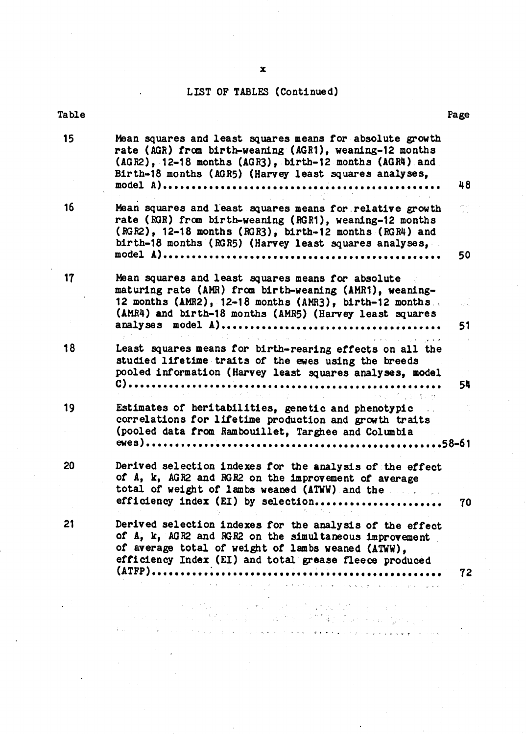## LIST OF TABLES (Continued)

| <b>Table</b> |                                                                                                                                                                                                                                          | Page |  |
|--------------|------------------------------------------------------------------------------------------------------------------------------------------------------------------------------------------------------------------------------------------|------|--|
| 15           | Mean squares and least squares means for absolute growth<br>rate (AGR) from birth-weaning (AGR1), weaning-12 months<br>(AGR2), 12-18 months (AGR3), birth-12 months (AGR4) and<br>Birth-18 months (AGR5) (Harvey least squares analyses, | 48   |  |
| 16           | Mean squares and least squares means for relative growth<br>rate (RGR) from birth-weaning (RGR1), weaning-12 months<br>(RGR2), 12-18 months (RGR3), birth-12 months (RGR4) and<br>birth-18 months (RGR5) (Harvey least squares analyses, | 50   |  |
| 17           | Mean squares and least squares means for absolute<br>maturing rate (AMR) from birth-weaning (AMR1), weaning-<br>12 months (AMR2), 12-18 months (AMR3), birth-12 months.<br>(AMR4) and birth-18 months (AMR5) (Harvey least squares       | 51   |  |
| 18           | .<br>1980 - Johann Mortin, amerikansk fotballs<br>Least squares means for birth-rearing effects on all the<br>studied lifetime traits of the ewes using the breeds<br>pooled information (Harvey least squares analyses, model           | 54   |  |
| 19           | Estimates of heritabilities, genetic and phenotypic<br>correlations for lifetime production and growth traits<br>(pooled data from Rambouillet, Targhee and Columbia                                                                     |      |  |
| 20           | Derived selection indexes for the analysis of the effect<br>of A, k, AGR2 and RGR2 on the improvement of average<br>total of weight of lambs weared (ATWW) and the<br>efficiency index (EI) by selection                                 | 70   |  |
| 21           | Derived selection indexes for the analysis of the effect<br>of A, k, AGR2 and RGR2 on the simultaneous improvement<br>of average total of weight of lambs weaned (ATWW).<br>efficiency Index (EI) and total grease fleece produced       |      |  |
|              | 医心包 人名英格兰人姓氏法英格兰人姓氏住所名称来源于古英语含义是英国英语含义是美国英语含义是英语                                                                                                                                                                                         | 72   |  |
|              | and the first state of the Australian agent in the<br>一个时间, 2007年, 2007年, 2008年, 2008年, 2008年, 400年, 400年, 400年, 400                                                                                                                     |      |  |
|              | in construit in the companion of the companion of the text of the second property in the property of the companion of the companion of the companion of the companion of the companion of the companion of the companion of t            |      |  |

J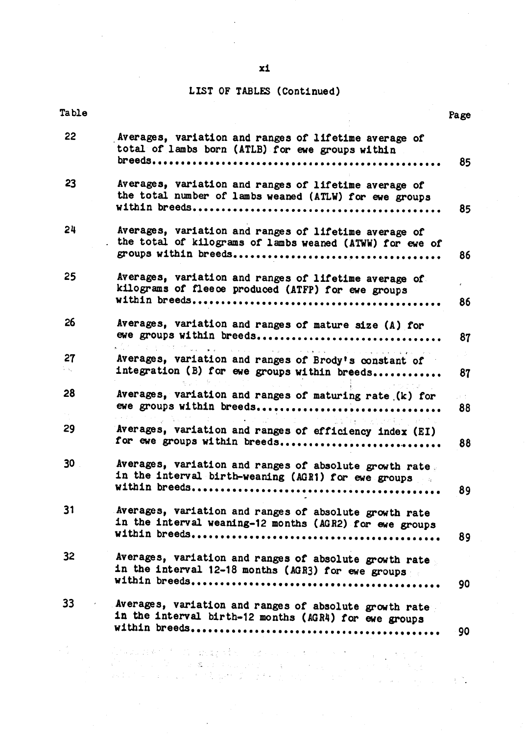## LIST OF TABLES (Continued)

| <b>Table</b>    |                                                                                                                                                                                                                                                                                                                                                                                                                                                        | Page        |  |
|-----------------|--------------------------------------------------------------------------------------------------------------------------------------------------------------------------------------------------------------------------------------------------------------------------------------------------------------------------------------------------------------------------------------------------------------------------------------------------------|-------------|--|
| 22              | Averages, variation and ranges of lifetime average of<br>total of lambs born (ATLB) for ewe groups within                                                                                                                                                                                                                                                                                                                                              |             |  |
|                 |                                                                                                                                                                                                                                                                                                                                                                                                                                                        | 85          |  |
| 23              | Averages, variation and ranges of lifetime average of<br>the total number of lambs weaned (ATLW) for ewe groups                                                                                                                                                                                                                                                                                                                                        |             |  |
|                 |                                                                                                                                                                                                                                                                                                                                                                                                                                                        | 85          |  |
| 24              | Averages, variation and ranges of lifetime average of<br>the total of kilograms of lambs weaned (ATWW) for ewe of                                                                                                                                                                                                                                                                                                                                      |             |  |
|                 |                                                                                                                                                                                                                                                                                                                                                                                                                                                        | 86          |  |
| 25              | Averages, variation and ranges of lifetime average of<br>kilograms of fleece produced (ATFP) for ewe groups                                                                                                                                                                                                                                                                                                                                            |             |  |
|                 |                                                                                                                                                                                                                                                                                                                                                                                                                                                        | 86          |  |
| 26              | Averages, variation and ranges of mature size (A) for<br>ewe groups within breeds                                                                                                                                                                                                                                                                                                                                                                      | 87          |  |
|                 | න්දිලි විවිධ වූ වූ ලියාවින් විස්තර මෙම විවිධ විවිධ විවිධ විවිධ විවිධ විවිධ විවිධ විවිධ විවිධ විවිධ විවිධ විවිධ                                                                                                                                                                                                                                                                                                                                         |             |  |
| 27<br>in kun    | Averages, variation and ranges of Brody's constant of<br>integration (B) for ewe groups within breeds                                                                                                                                                                                                                                                                                                                                                  | 87          |  |
| 28              | Averages, variation and ranges of maturing rate (k) for<br>ewe groups within breeds                                                                                                                                                                                                                                                                                                                                                                    | at di<br>88 |  |
| 29              | りょうし たんか ふくなる けかい<br>a de la componencia de la componencia de la componencia de la componencia de la componencia de la componencia<br>La componencia del componencia del componencia del componencia del componencia del componencia del componencia<br>Averages, variation and ranges of efficiency index (EI)                                                                                                                                        |             |  |
|                 | for ewe groups within breeds                                                                                                                                                                                                                                                                                                                                                                                                                           | 88          |  |
| 30 <sub>2</sub> | Averages, variation and ranges of absolute growth rate.<br>in the interval birth-weaning (AGR1) for ewe groups                                                                                                                                                                                                                                                                                                                                         |             |  |
|                 |                                                                                                                                                                                                                                                                                                                                                                                                                                                        | 89          |  |
| 31              | Averages, variation and ranges of absolute growth rate<br>in the interval weaning-12 months (AGR2) for ewe groups                                                                                                                                                                                                                                                                                                                                      |             |  |
|                 |                                                                                                                                                                                                                                                                                                                                                                                                                                                        | 89          |  |
| 32 <sub>2</sub> | Averages, variation and ranges of absolute growth rate<br>in the interval 12-18 months (AGR3) for ewe groups                                                                                                                                                                                                                                                                                                                                           |             |  |
|                 |                                                                                                                                                                                                                                                                                                                                                                                                                                                        | 90          |  |
| 33              | Averages, variation and ranges of absolute growth rate<br>in the interval birth-12 months (AGR4) for ewe groups                                                                                                                                                                                                                                                                                                                                        |             |  |
|                 |                                                                                                                                                                                                                                                                                                                                                                                                                                                        | 90          |  |
|                 |                                                                                                                                                                                                                                                                                                                                                                                                                                                        |             |  |
|                 | $\label{eq:2.1} \mathcal{D}(\mathcal{L}(\mathcal{L}^{\mathcal{L}}_{\mathcal{L}}(\mathcal{L}^{\mathcal{L}}_{\mathcal{L}}(\mathcal{L}^{\mathcal{L}}_{\mathcal{L}}(\mathcal{L}^{\mathcal{L}}_{\mathcal{L}}(\mathcal{L}^{\mathcal{L}}_{\mathcal{L}}(\mathcal{L}^{\mathcal{L}}_{\mathcal{L}}(\mathcal{L}^{\mathcal{L}}_{\mathcal{L}}(\mathcal{L}^{\mathcal{L}}_{\mathcal{L}}(\mathcal{L}^{\mathcal{L}}_{\mathcal{L}}(\mathcal{L}^{\mathcal{L}}_{\mathcal{L$ |             |  |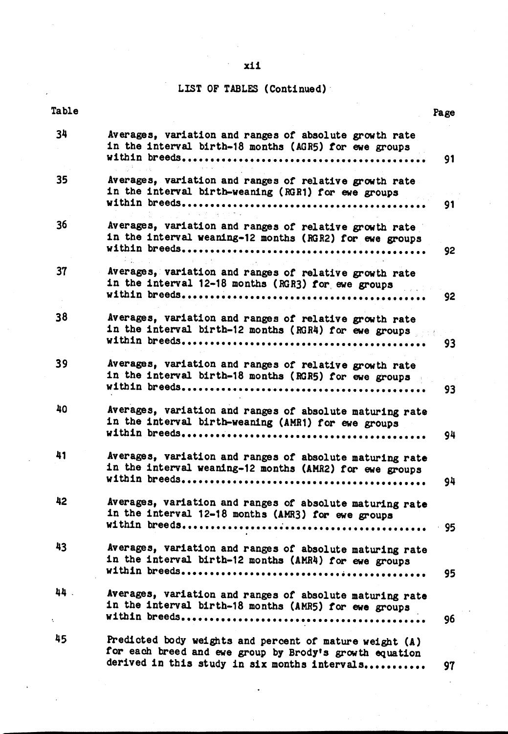## $x11$

## LIST OF TABLES (Continued)

| Table           |                                                                                                                     | Page       |
|-----------------|---------------------------------------------------------------------------------------------------------------------|------------|
| 34              | Averages, variation and ranges of absolute growth rate<br>in the interval birth-18 months (AGR5) for ewe groups     | 91         |
| 35 <sub>2</sub> | Averages, variation and ranges of relative growth rate<br>in the interval birth-weaning (RGR1) for ewe groups       |            |
|                 | <b>Country Road</b>                                                                                                 | 91         |
| 36              | Averages, variation and ranges of relative growth rate<br>in the interval weaning-12 months (RGR2) for ewe groups   |            |
| 37              | しゅうよう しんしょう エー・エス<br>Averages, variation and ranges of relative growth rate                                         | 92         |
|                 | in the interval 12-18 months (RGR3) for ewe groups                                                                  | 92         |
| 38              | Averages, variation and ranges of relative growth rate                                                              |            |
|                 | in the interval birth-12 months (RGR4) for ewe groups                                                               | 93         |
| 39              | Averages, variation and ranges of relative growth rate<br>in the interval birth-18 months (RGR5) for ewe groups     |            |
| 40              |                                                                                                                     | 93         |
|                 | Averages, variation and ranges of absolute maturing rate<br>in the interval birth-weaning (AMR1) for ewe groups     | 94         |
| 41              | Averages, variation and ranges of absolute maturing rate<br>in the interval weaning-12 months (AMR2) for ewe groups |            |
|                 |                                                                                                                     | 94         |
| 42              | Averages, variation and ranges of absolute maturing rate<br>in the interval 12-18 months (AMR3) for ewe groups      |            |
| 43              | Averages, variation and ranges of absolute maturing rate                                                            | $\cdot$ 95 |
|                 | in the interval birth-12 months (AMR4) for ewe groups                                                               | 95         |
| 44.             | Averages, variation and ranges of absolute maturing rate<br>in the interval birth-18 months (AMR5) for ewe groups   |            |
| t.              |                                                                                                                     | 96         |
| 45              | Predicted body weights and percent of mature weight (A)<br>for each breed and ewe group by Brody's growth equation  |            |
|                 | derived in this study in six months intervals                                                                       | 97         |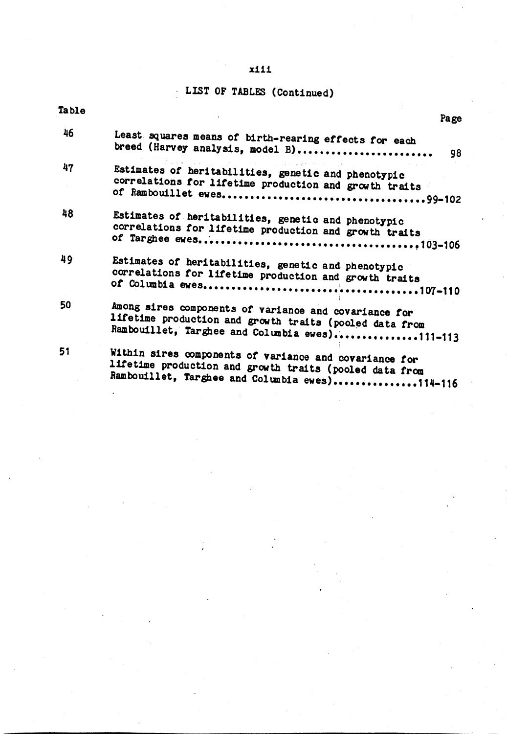## x111

# LIST OF TABLES (Continued)

| Table | Page                                                                                                                                                                |
|-------|---------------------------------------------------------------------------------------------------------------------------------------------------------------------|
| 46    | Least squares means of birth-rearing effects for each<br>breed (Harvey analysis, model B)<br>98                                                                     |
| 47    | Estimates of heritabilities, genetic and phenotypic<br>correlations for lifetime production and growth traits                                                       |
| 48    | Estimates of heritabilities, genetic and phenotypic<br>correlations for lifetime production and growth traits                                                       |
| 49    | Estimates of heritabilities, genetic and phenotypic<br>correlations for lifetime production and growth traits                                                       |
| 50    | Among sires components of variance and covariance for<br>lifetime production and growth traits (pooled data from<br>Rambouillet, Targhee and Columbia ewes)111-113  |
| 51    | Within sires components of variance and covariance for<br>lifetime production and growth traits (pooled data from<br>Rambouillet, Targhee and Columbia ewes)114-116 |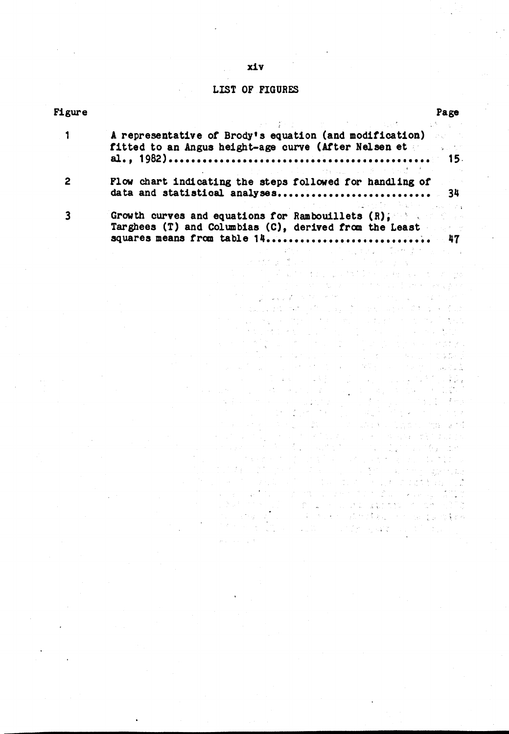#### **LIST OF**

| <b>Figure</b> |                                                                                                               | Page |
|---------------|---------------------------------------------------------------------------------------------------------------|------|
|               | アンディア・ファイン 柔み そうしょう せいしょうき コンピュー おおむ アンバー 風熱 しんしゃ                                                             |      |
|               | A representative of Brody's equation (and modification) and                                                   |      |
|               | fitted to an Angus height-age curve (After Nelsen et                                                          |      |
|               |                                                                                                               |      |
|               | このことに、このことをある。 こうしょう かいしゅぎ こうしょう あいかん あるばしばし                                                                  |      |
|               | Flow chart indicating the steps followed for handling of                                                      |      |
|               | data and statistical analyses 34                                                                              |      |
|               | → 「 Linux A 」 「 Linux A 」 「 Linux A 」 「 Linux A 」 「 Linux A 」 「 Linux A 」 「 Linux A 」 「 Linux A 」 「 Linux A 」 |      |
|               | Growth curves and equations for Rambouillets $(R)$ . The set of the set of $R$                                |      |
|               | Targhees (T) and Columbias (C), derived from the Least                                                        |      |
|               |                                                                                                               |      |

 $\mathbb{P}^{2n}$ 

 $\frac{1}{2}$ 

 $\epsilon_{\rm{eff}}=40$  $\zeta_{\rm c}$  ,  $\zeta_{\rm c}$   $\frac{d}{2}$  .

in<br>Sa

 $\sim$  .

 $\frac{1}{2}$  ,  $\frac{1}{2}$  ,  $\frac{1}{2}$ 

 $\frac{d}{dt} \left( \frac{1}{2} \left( \frac{2\pi}{\hbar} \right) \frac{1}{2} \left( \frac{1}{2} \left( \frac{1}{2} \right) \right) \right) = \frac{1}{2\hbar} \left( \frac{1}{2} \left( \frac{1}{2} \right) \right) = \frac{1}{4}$ 

 $\sim 2^{\prime\prime} \sim 12.5$  $\label{eq:2.1} \mathcal{L}^{(k)}(\mathcal{F}) = \mathcal{L}^{(k)}(\mathcal{L}) \frac{\mathcal{L}}{2} \mathcal{F}^{(k)}(\mathcal{F})$ 

> $\frac{d}{2}=\frac{1}{2}$  $\tilde{\xi} \in \tilde{\mathcal{Z}}$

计算子  $\sum_{i=1}^{N} \alpha_i = \frac{1}{2}$ ia.<br>Artist

> to.<br>Poz  $\mathcal{L}_{\mathcal{L}}$

 $\mathcal{E}(\mathcal{P})$  .  $\frac{N}{2}$  .  $\frac{N}{2}$ 

ing and companies  $\label{eq:3.1} \frac{1}{\sqrt{2}}\left(\frac{1}{\sqrt{2}}\right)^{-\frac{1}{2}}\left(\frac{1}{\sqrt{2}}\right)^{-\frac{1}{2}}\left(\frac{1}{\sqrt{2}}\right)^{-\frac{1}{2}}\left(\frac{1}{\sqrt{2}}\right)^{-\frac{1}{2}}\left(\frac{1}{\sqrt{2}}\right)^{-\frac{1}{2}}\left(\frac{1}{\sqrt{2}}\right)^{-\frac{1}{2}}\left(\frac{1}{\sqrt{2}}\right)^{-\frac{1}{2}}\left(\frac{1}{\sqrt{2}}\right)^{-\frac{1}{2}}\left(\frac{1}{\sqrt{2}}\right)^{-\$ 

ia de Contenido<br>Al 1912 (Bantião

 $\alpha$  ,  $\beta$  for  $\beta$  ,  $\beta$ 

сý.

 $\mathcal{L} \leftarrow \mathcal{L}$ 

#### $x1v$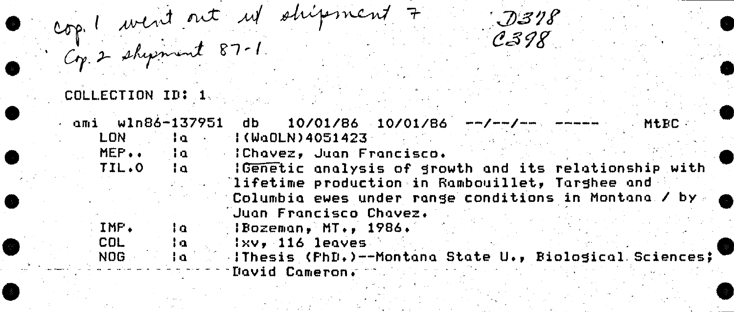cop! went out up shipment 7 COLLECTION ID: 1

ami w1n86-137951 db  $10/01/86$   $10/01/86$   $-/-/-$ **MtRC** LON.  $1(UaOLN)4051423$ l n l MEP.. - IChavez, Juan Francisco.  $1a$ IGenetic analysis of growth and its relationship with TIL.O ta. lifetime production in Rambouillet, Targhee and Columbia ewes under range conditions in Montana / by Juan Francisco Chavez. IMP. ١a -lBozeman, MT., 1986. COL. l a  $1 \times v$ . 116 leaves IThesis (FhD.)--Montana State U., Biological Sciences; NOG. ła. David Cameron.

 $J318$  $C398$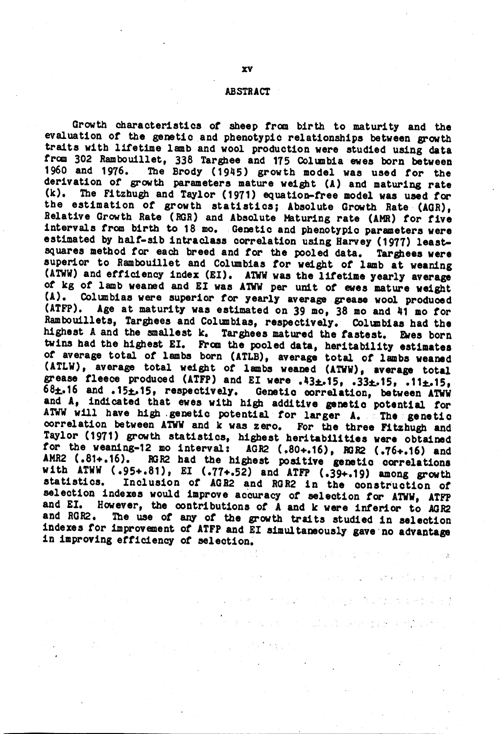#### **ABSTRACT**

Growth characteristics of sheep from birth to maturity and the evaluation of the genetic and phenotypic relationships between growth traits with lifetime lamb and wool production were studied using data from 302 Rambouillet, 338 Targhee and 175 Columbia ewes born between The Brody (1945) growth model was used for the 1960 and 1976. derivation of growth parameters mature weight (A) and maturing rate  $(k)$ . The Fitzhugh and Taylor (1971) equation-free model was used for the estimation of growth statistics; Absolute Growth Rate (AGR), Relative Growth Rate (RGR) and Absolute Maturing rate (AMR) for five intervals from birth to 18 mo. Genetic and phenotypic parameters were estimated by half-sib intraclass correlation using Harvey (1977) leastsquares method for each breed and for the pooled data. Targhees were superior to Rambouillet and Columbias for weight of lamb at weaning (ATWW) and efficiency index (EI). ATWW was the lifetime yearly average of kg of lamb weaned and EI was ATWW per unit of ewes mature weight (A). Columbias were superior for yearly average grease wool produced Age at maturity was estimated on 39 mo, 38 mo and 41 mo for (ATFP). Rambouillets, Targhees and Columbias, respectively. Columbias had the highest A and the smallest k. Targhees matured the fastest. Ewes born twins had the highest EI. From the pooled data, heritability estimates of average total of lambs born (ATLB), average total of lambs weaned (ATLW), average total weight of lambs weaned (ATWW), average total grease fleece produced (ATFP) and EI were .43 $\pm$ .15, .33 $\pm$ .15, .11 $\pm$ .15, 68±.16 and .15±.15, respectively. Genetic correlation, between ATWW and A, indicated that ewes with high additive genetic potential for ATWW will have high genetic potential for larger A. The genetic correlation between ATWW and k was zero. For the three Fitzhugh and Taylor (1971) growth statistics, highest heritabilities were obtained for the weaning-12 mo interval: AGR2 (.80+.16), RGR2 (.76+.16) and AMR2 (.81+.16). RGR2 had the highest positive genetic correlations with ATWW (.95+.81), EI (.77+.52) and ATFP (.39+.19) among growth Inclusion of AGR2 and RGR2 in the construction of statistics. selection indexes would improve accuracy of selection for ATWW, ATFP However, the contributions of A and k were inferior to AGR2 and EI. The use of any of the growth traits studied in selection and RGR2. indexes for improvement of ATFP and EI simultaneously gave no advantage in improving efficiency of selection.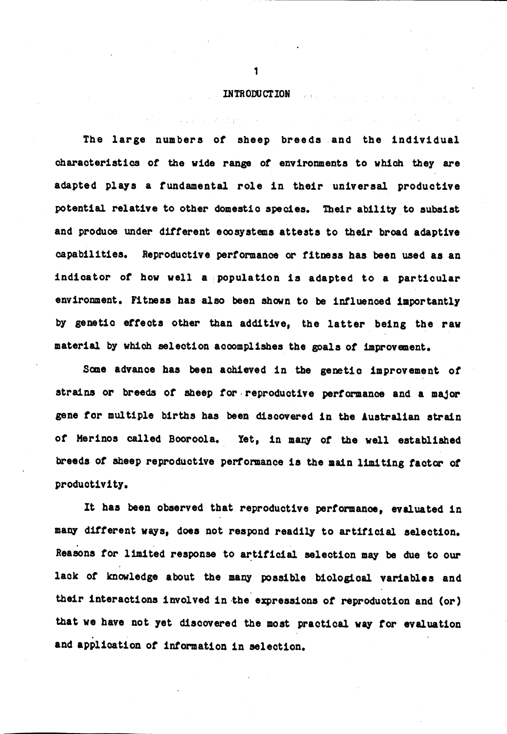#### **INTRODUCTION**

 $\sim$  and  $\sim$ 

The large numbers of sheep breeds and the individual characteristics of the wide range of environments to which they are adapted plays a fundamental role in their universal productive potential relative to other domestic species. Their ability to subsist and produce under different ecosystems attests to their broad adaptive capabilities. Reproductive performance or fitness has been used as an indicator of how well a population is adapted to a particular environment. Fitness has also been shown to be influenced importantly by genetic effects other than additive, the latter being the raw material by which selection accomplishes the goals of improvement.

Some advance has been achieved in the genetic improvement of strains or breeds of sheep for reproductive performance and a major gene for multiple births has been discovered in the Australian strain of Merinos called Booroola. Yet, in many of the well established breeds of sheep reproductive performance is the main limiting factor of productivity.

It has been observed that reproductive performance, evaluated in many different ways, does not respond readily to artificial selection. Reasons for limited response to artificial selection may be due to our lack of knowledge about the many possible biological variables and their interactions involved in the expressions of reproduction and (or) that we have not yet discovered the most practical way for evaluation and application of information in selection.

 $\mathbf{1}$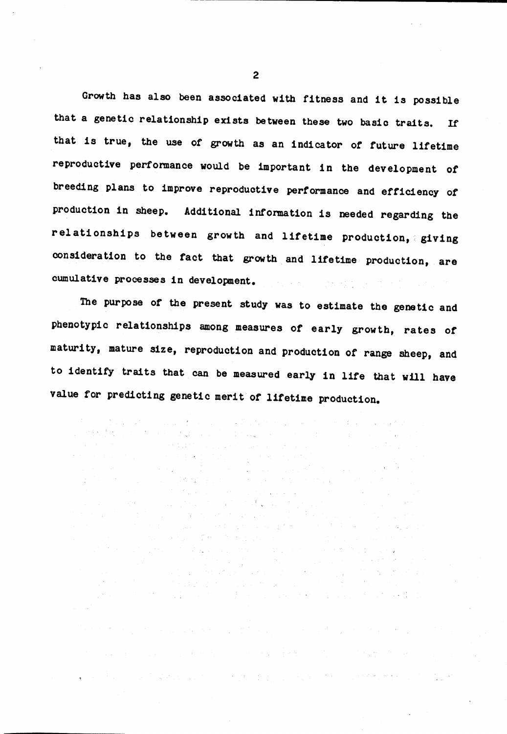Growth has also been associated with fitness and it is possible that a genetic relationship exists between these two basic traits. **Tf** that is true, the use of growth as an indicator of future lifetime reproductive performance would be important in the development of breeding plans to improve reproductive performance and efficiency of production in sheep. Additional information is needed regarding the relationships between growth and lifetime production, giving consideration to the fact that growth and lifetime production, are cumulative processes in development.

The purpose of the present study was to estimate the genetic and phenotypic relationships among measures of early growth, rates of maturity, mature size, reproduction and production of range sheep, and to identify traits that can be measured early in life that will have value for predicting genetic merit of lifetime production.

a tha that the company of the company of the company of the company of the company of

ar e completa de la 1945, a la 1945.<br>La 1950, a la propia de la 1945, a la 1950, a la 1950, a la

a di kacamatan ing Kabupatèn Banggunian Kabupatèn Kabupatèn Kabupatèn Kabupatèn Kabupatèn Kabupatèn Kabupatèn

in the first part of the substantial properties and contribute the properties of the properties of the second

. We are the set of the set of the set of the set of  $\{x_i\}_{i=1}^N$  , where  $\{x_i\}_{i=1}^N$ 

 $\mathbb{R}^2$  and the second contribution of  $\mathbb{R}^2$  , the second contribution of  $\mathbb{R}^2$  ,  $\mathbb{R}^2$ 

 $\sim$   $\mu$   $^{-1}$ 

e de la componentación de la componentación de la componentación de la componentación de la componentación de<br>En 1990, en 1990, en 1990, en 1990, en 1990, en 1990, en 1990, en 1990, en 1990, en 1990, en 1990, en 1990, en<br>E

 $\label{eq:2.1} \frac{1}{\sqrt{2}}\left(\frac{1}{\sqrt{2}}\right)^{2} \frac{1}{\sqrt{2}}\left(\frac{1}{\sqrt{2}}\right)^{2} \frac{1}{\sqrt{2}}\left(\frac{1}{\sqrt{2}}\right)^{2} \frac{1}{\sqrt{2}}\left(\frac{1}{\sqrt{2}}\right)^{2} \frac{1}{\sqrt{2}}\left(\frac{1}{\sqrt{2}}\right)^{2} \frac{1}{\sqrt{2}}\left(\frac{1}{\sqrt{2}}\right)^{2} \frac{1}{\sqrt{2}}\left(\frac{1}{\sqrt{2}}\right)^{2} \frac{1}{\sqrt{2}}\left(\frac{$ 

 $\mathcal{L}^{\text{max}}_{\text{max}}$  and  $\mathcal{L}^{\text{max}}_{\text{max}}$  and  $\mathcal{L}^{\text{max}}_{\text{max}}$ 

special conditions to consider the condition of the second conditions of

 $\sim 100$ 

a sa mara ng kababang ng mga malaysing nagalawang nagalawang nagalawang nagalawang nagalawang nagalawang nagal<br>Talagang nagalawang ng mga mangalawang nagalawang nagalawang nagalawang nagalawang nagalawang nagalawang nagal

 $\label{eq:2.1} \mathcal{F}^{(p)}(\mathcal{F}^{(p)}_{\mathcal{F}}) = \mathcal{F}^{(p)}_{\mathcal{F}}(\mathcal{F}^{(p)}_{\mathcal{F}}) = \mathcal{F}^{(p)}_{\mathcal{F}}(\mathcal{F}^{(p)}_{\mathcal{F}}) = \mathcal{F}^{(p)}_{\mathcal{F}}(\mathcal{F}^{(p)}_{\mathcal{F}}) = \mathcal{F}^{(p)}_{\mathcal{F}}(\mathcal{F}^{(p)}_{\mathcal{F}})$  $\begin{split} \frac{1}{2} & \left( \left( \frac{\partial}{\partial x} \right)^2 \right)^{-1} \left( \frac{\partial}{\partial x} \right)^2 \\ & \left( \frac{\partial}{\partial x} \right)^2 \left( \left( \frac{\partial}{\partial x} \right)^2 \right)^{-1} \\ & \left( \frac{\partial}{\partial x} \right)^2 \left( \left( \frac{\partial}{\partial x} \right)^2 \right)^{-1} \\ & \left( \frac{\partial}{\partial x} \right)^2 \left( \frac{\partial}{\partial x} \right)^2 \left( \frac{\partial}{\partial x} \right)^2 \end{split}$ 

 $\mathcal{L}(\mathcal{E}_{\mathcal{D}}) = \mathcal{L}(\mathcal{E}_{\mathcal{D}}) = \mathcal{L}(\mathcal{E}_{\mathcal{D}}) = \mathcal{L}(\mathcal{E}_{\mathcal{D}})$ 

 $\mathcal{O}(\mathcal{M}^{\mathcal{A}}(\Omega,\mathbf{Q})) \leq \mathcal{O}(\mathcal{M}^{\mathcal{A}}(\Omega,\mathbf{Q})) \leq \mathcal{O}(\mathcal{M}^{\mathcal{A}}(\Omega,\mathbf{Q})) \leq \mathcal{O}(\mathcal{M}^{\mathcal{A}}(\Omega,\mathbf{Q})) \leq \mathcal{O}(\mathcal{M}^{\mathcal{A}}(\Omega,\mathbf{Q})))$ 

 $\label{eq:2.1} \mathcal{L}(\mathcal{A}) = \mathcal{H}^{\mathcal{A}}(\mathcal{A}) = \mathcal{L}(\mathcal{A}) = \mathcal{L}(\mathcal{A}) = \mathcal{H}^{\mathcal{A}}(\mathcal{A}).$ 

 $\mathcal{O}(\mathcal{O}_{\mathcal{A}})$  , where  $\mathcal{O}_{\mathcal{A}}$  is a properties of the contribution of the contribution of  $\mathcal{O}_{\mathcal{A}}$ 

 $\mathcal{A}$  , we have a set of the set of the set of the set of the set of the set of the set of the set of the set of the set of the set of the set of the set of the set of the set of the set of the set of the set of the se

 $\sim 10^{-11}$ 

 $\sim 10^{-1}$ 

 $\label{eq:1} \mathcal{F}^{(n)} = \mathcal{F}^{(n)} \mathcal{F}^{(n)}$ 

 $\mathbb{E} \bigg[ \left\{ \left| \sum_{i=1}^n \frac{1}{\sqrt{2}} \right| \frac{d\mathbf{y}_i}{d\mathbf{y}_i} \right| \leq \left( \left| \sum_{i=1}^n \frac{1}{\sqrt{2}} \right| \right) \bigg| \leq \left( \left| \sum_{i=1}^n \frac{1}{\sqrt{2}} \right| \right) \leq \left( \left| \sum_{i=1}^n \frac{1}{\sqrt{2}} \right| \right) \leq \left( \sum_{i=1}^n \frac{1}{\sqrt{2}} \right) \leq \left( \sum_{i=1}^n \frac{1}{\sqrt{$ 

 $\langle \omega^2, \omega^2 \rangle$  .

 $\mathcal{L}^{\text{max}}(\mathcal{L}^{\text{max}})$  , where  $\mathcal{L}^{\text{max}}$ 

**The Secret State** 

 $\label{eq:2} \mathcal{F} = \mathcal{F}_{\mathcal{A} \times \mathcal{B}} \left( \mathcal{F}_{\mathcal{A} \times \mathcal{B}} \right)$ 

 $\mathcal{A} \rightarrow \mathcal{A}$ 

 $\overline{2}$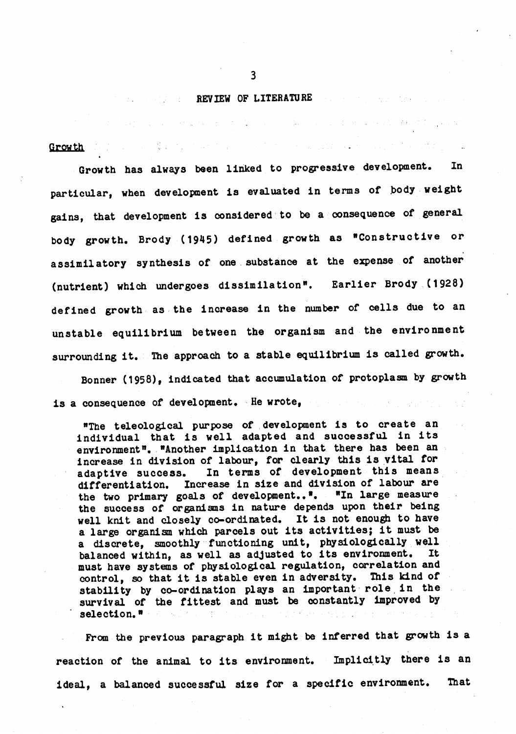#### **EXAMPLE REVIEW OF LITERATURE**

 $\label{eq:2.1} \mathcal{A}^{\mathcal{A}}=\bigoplus_{i=1}^n\mathcal{A}^{\mathcal{A}}\bigoplus_{i=1}^n\mathcal{A}^{\mathcal{A}}\bigoplus_{i=1}^n\mathcal{A}^{\mathcal{A}}\bigoplus_{i=1}^n\mathcal{A}^{\mathcal{A}}\bigoplus_{i=1}^n\mathcal{A}^{\mathcal{A}}\bigoplus_{i=1}^n\mathcal{A}^{\mathcal{A}}\bigoplus_{i=1}^n\mathcal{A}^{\mathcal{A}}\bigoplus_{i=1}^n\mathcal{A}^{\mathcal{A}}\bigoplus_{i$ 

14. "我们的,你们就会不会会了。" 的复数形式

Growth

Growth has always been linked to progressive development. In particular, when development is evaluated in terms of body weight gains, that development is considered to be a consequence of general body growth. Brody (1945) defined growth as "Constructive or assimilatory synthesis of one substance at the expense of another Earlier Brody (1928) (nutrient) which undergoes dissimilation". defined growth as the increase in the number of cells due to an unstable equilibrium between the organism and the environment surrounding it. The approach to a stable equilibrium is called growth. Bonner (1958), indicated that accumulation of protoplasm by growth

is a consequence of development. He wrote,

"The teleological purpose of development is to create an individual that is well adapted and successful in its environment". "Another implication in that there has been an increase in division of labour, for clearly this is vital for In terms of development this means adaptive success. differentiation. Increase in size and division of labour are the two primary goals of development.... "In large measure the success of organisms in nature depends upon their being well knit and closely co-ordinated. It is not enough to have a large organism which parcels out its activities; it must be a discrete, smoothly functioning unit, physiologically well balanced within, as well as adjusted to its environment. It must have systems of physiological regulation, correlation and control, so that it is stable even in adversity. This kind of stability by co-ordination plays an important role in the survival of the fittest and must be constantly improved by selection."

From the previous paragraph it might be inferred that growth is a reaction of the animal to its environment. Implicitly there is an ideal, a balanced successful size for a specific environment. That

 $\overline{3}$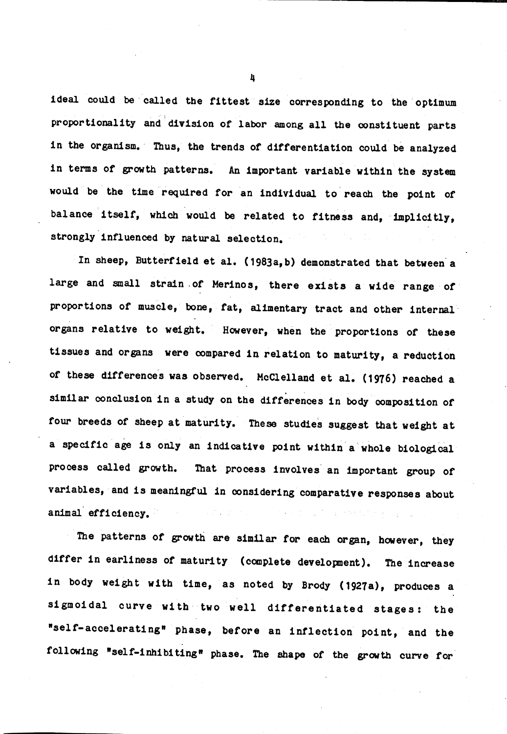ideal could be called the fittest size corresponding to the optimum proportionality and division of labor among all the constituent parts in the organism. Thus, the trends of differentiation could be analyzed in terms of growth patterns. An important variable within the system would be the time required for an individual to reach the point of balance itself, which would be related to fitness and, implicitly, strongly influenced by natural selection.

In sheep, Butterfield et al. (1983a, b) demonstrated that between a large and small strain of Merinos, there exists a wide range of proportions of muscle, bone, fat, alimentary tract and other internal organs relative to weight. However, when the proportions of these tissues and organs were compared in relation to maturity, a reduction of these differences was observed. McClelland et al. (1976) reached a similar conclusion in a study on the differences in body composition of four breeds of sheep at maturity. These studies suggest that weight at a specific age is only an indicative point within a whole biological process called growth. That process involves an important group of variables, and is meaningful in considering comparative responses about animal efficiency.

The patterns of growth are similar for each organ, however, they differ in earliness of maturity (complete development). The increase in body weight with time, as noted by Brody (1927a), produces a sigmoidal curve with two well differentiated stages: the "self-accelerating" phase, before an inflection point, and the following "self-inhibiting" phase. The shape of the growth curve for

 $\overline{a}$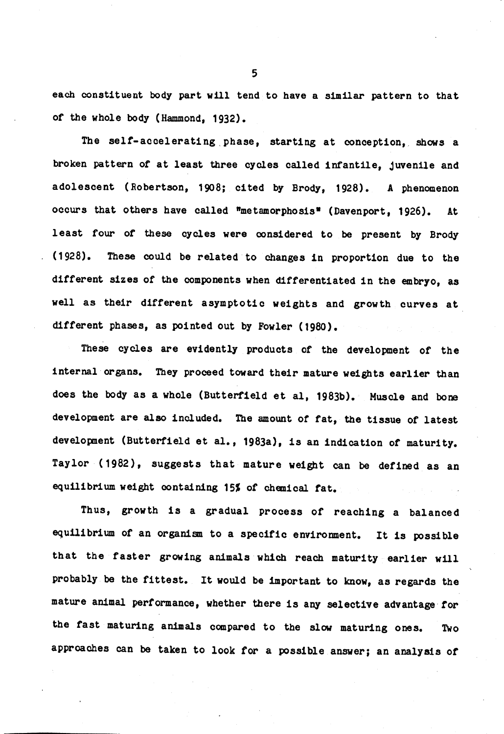each constituent body part will tend to have a similar pattern to that of the whole body (Hammond, 1932).

The self-accelerating phase, starting at conception, shows a broken pattern of at least three cycles called infantile, juvenile and adolescent (Robertson, 1908; cited by Brody, 1928). A phenomenon occurs that others have called "metamorphosis" (Davenport, 1926). At least four of these cycles were considered to be present by Brody  $(1928)$ . These could be related to changes in proportion due to the different sizes of the components when differentiated in the embryo, as well as their different asymptotic weights and growth curves at different phases, as pointed out by Fowler (1980).

These cycles are evidently products of the development of the internal organs. They proceed toward their mature weights earlier than does the body as a whole (Butterfield et al, 1983b). Muscle and bone development are also included. The amount of fat, the tissue of latest development (Butterfield et al., 1983a), is an indication of maturity. Taylor (1982), suggests that mature weight can be defined as an equilibrium weight containing 15% of chemical fat.

Thus, growth is a gradual process of reaching a balanced equilibrium of an organism to a specific environment. It is possible that the faster growing animals which reach maturity earlier will probably be the fittest. It would be important to know, as regards the mature animal performance, whether there is any selective advantage for the fast maturing animals compared to the slow maturing ones. **Two** approaches can be taken to look for a possible answer; an analysis of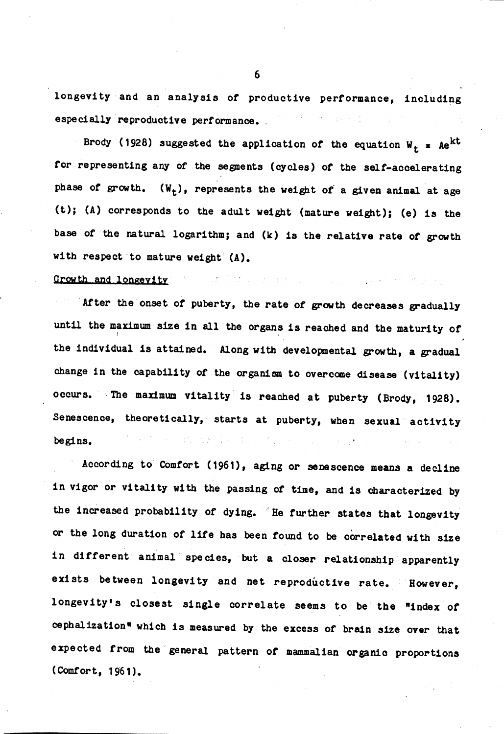longevity and an analysis of productive performance, including especially reproductive performance.

Brody (1928) suggested the application of the equation  $W_t = Ae^{kt}$ for representing any of the segments (cycles) of the self-accelerating phase of growth.  $(W_t)$ , represents the weight of a given animal at age (t); (A) corresponds to the adult weight (mature weight); (e) is the base of the natural logarithm; and (k) is the relative rate of growth with respect to mature weight (A).

 $\mathcal{L}_{\text{max}}$  , and  $\mathcal{L}_{\text{max}}$  , and  $\mathcal{L}_{\text{max}}$ 

#### Growth and longevity

After the onset of puberty, the rate of growth decreases gradually until the maximum size in all the organs is reached and the maturity of the individual is attained. Along with developmental growth, a gradual change in the capability of the organism to overcome disease (vitality) occurs. The maximum vitality is reached at puberty (Brody, 1928). Senescence, theoretically, starts at puberty, when sexual activity  $\label{eq:1} \begin{array}{c} \mathbb{E}[\mathcal{F}_{\mathcal{G}}] = \mathbb{E}[\mathcal{F}_{\mathcal{G}}] = \mathbb{E}[\mathcal{F}_{\mathcal{G}}] = \mathbb{E}[\mathcal{F}_{\mathcal{G}}] = \mathbb{E}[\mathcal{F}_{\mathcal{G}}] = \mathbb{E}[\mathcal{F}_{\mathcal{G}}] = \mathbb{E}[\mathcal{F}_{\mathcal{G}}] = \mathbb{E}[\mathcal{F}_{\mathcal{G}}] = \mathbb{E}[\mathcal{F}_{\mathcal{G}}] = \mathbb{E}[\mathcal{F}_{\mathcal{G}}] = \mathbb{E}$ begins.

According to Comfort (1961), aging or senescence means a decline in vigor or vitality with the passing of time, and is characterized by the increased probability of dying. He further states that longevity or the long duration of life has been found to be correlated with size in different animal species, but a closer relationship apparently exists between longevity and net reproductive rate. However, longevity's closest single correlate seems to be the "index of cephalization" which is measured by the excess of brain size over that expected from the general pattern of mammalian organic proportions  $(Comfort, 1961)$ .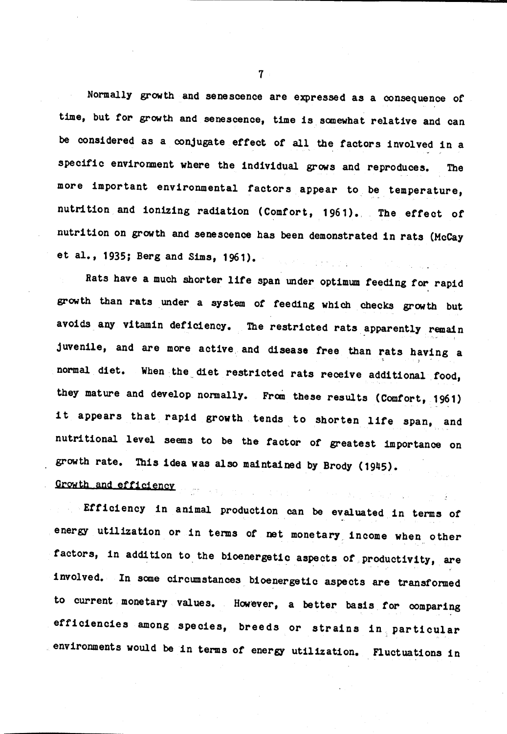Normally growth and senescence are expressed as a consequence of time, but for growth and senescence, time is somewhat relative and can be considered as a conjugate effect of all the factors involved in a specific environment where the individual grows and reproduces. **The** more important environmental factors appear to be temperature, nutrition and ionizing radiation (Comfort, 1961). The effect of nutrition on growth and senescence has been demonstrated in rats (McCay et al., 1935; Berg and Sims, 1961). e komzet g

Rats have a much shorter life span under optimum feeding for rapid growth than rats under a system of feeding which checks growth but avoids any vitamin deficiency. The restricted rats apparently remain juvenile, and are more active and disease free than rats having a normal diet. When the diet restricted rats receive additional food, they mature and develop normally. From these results (Comfort, 1961) it appears that rapid growth tends to shorten life span, and nutritional level seems to be the factor of greatest importance on growth rate. This idea was also maintained by Brody (1945). Growth and efficiency and state and state of the state of the state of the state of the state of the state of the state of the state of the state of the state of the state of the state of the state of the state of the stat

Efficiency in animal production can be evaluated in terms of energy utilization or in terms of net monetary income when other factors, in addition to the bioenergetic aspects of productivity, are involved. In some circumstances bioenergetic aspects are transformed to current monetary values. However, a better basis for comparing efficiencies among species, breeds or strains in particular environments would be in terms of energy utilization. Fluctuations in

 $\overline{7}$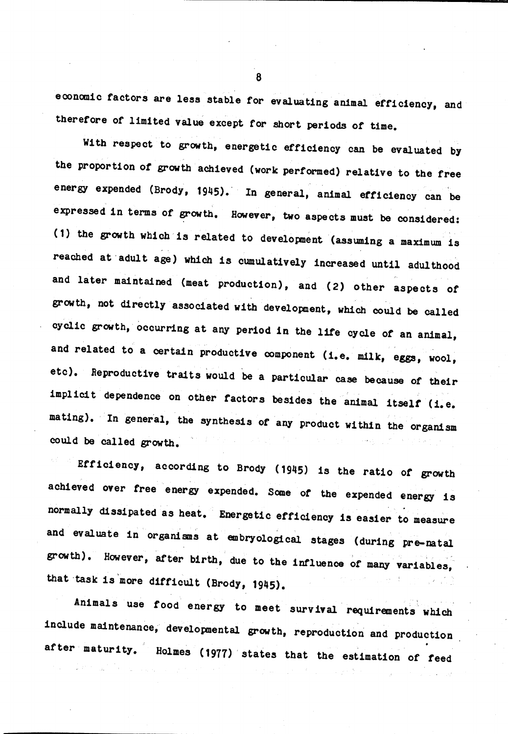economic factors are less stable for evaluating animal efficiency, and therefore of limited value except for short periods of time.

With respect to growth, energetic efficiency can be evaluated by the proportion of growth achieved (work performed) relative to the free energy expended (Brody, 1945). In general, animal efficiency can be expressed in terms of growth. However, two aspects must be considered: (1) the growth which is related to development (assuming a maximum is reached at adult age) which is cumulatively increased until adulthood and later maintained (meat production), and (2) other aspects of growth, not directly associated with development, which could be called cyclic growth, occurring at any period in the life cycle of an animal, and related to a certain productive component (i.e. milk, eggs, wool, etc). Reproductive traits would be a particular case because of their implicit dependence on other factors besides the animal itself (i.e. mating). In general, the synthesis of any product within the organism could be called growth.

Efficiency, according to Brody (1945) is the ratio of growth achieved over free energy expended. Some of the expended energy is normally dissipated as heat. Energetic efficiency is easier to measure and evaluate in organisms at embryological stages (during pre-natal growth). However, after birth, due to the influence of many variables, that task is more difficult (Brody, 1945).

Animals use food energy to meet survival requirements which include maintenance, developmental growth, reproduction and production after maturity. Holmes (1977) states that the estimation of feed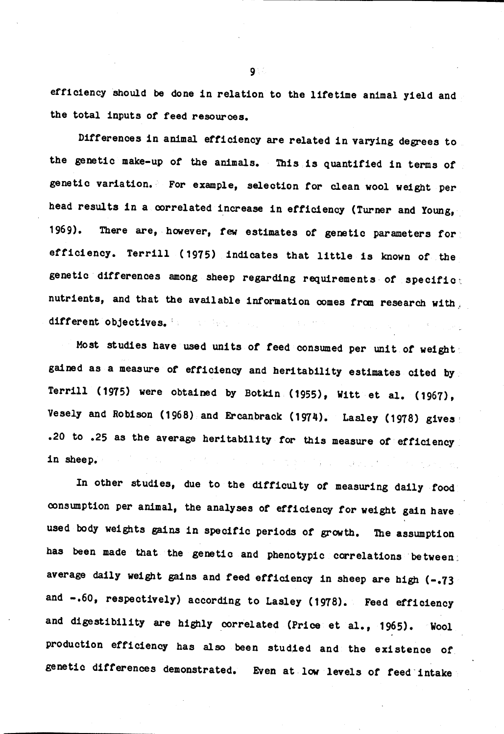efficiency should be done in relation to the lifetime animal yield and the total inputs of feed resources.

Differences in animal efficiency are related in varying degrees to the genetic make-up of the animals. This is quantified in terms of genetic variation. For example, selection for clean wool weight per head results in a correlated increase in efficiency (Turner and Young, There are, however, few estimates of genetic parameters for  $1969$ . efficiency. Terrill (1975) indicates that little is known of the genetic differences among sheep regarding requirements of specifict nutrients, and that the available information comes from research with, different objectives.

Most studies have used units of feed consumed per unit of weight; gained as a measure of efficiency and heritability estimates cited by Terrill (1975) were obtained by Botkin (1955), Witt et al. (1967), Vesely and Robison (1968) and Ercanbrack (1974). Lasley (1978) gives .20 to .25 as the average heritability for this measure of efficiency in sheep.

In other studies, due to the difficulty of measuring daily food consumption per animal, the analyses of efficiency for weight gain have used body weights gains in specific periods of growth. The assumption has been made that the genetic and phenotypic correlations between; average daily weight gains and feed efficiency in sheep are high (-.73 and -.60, respectively) according to Lasley (1978). Feed efficiency and digestibility are highly correlated (Price et al., 1965). **Wool** production efficiency has also been studied and the existence of genetic differences demonstrated. Even at low levels of feed intake

 $9<sup>o</sup>$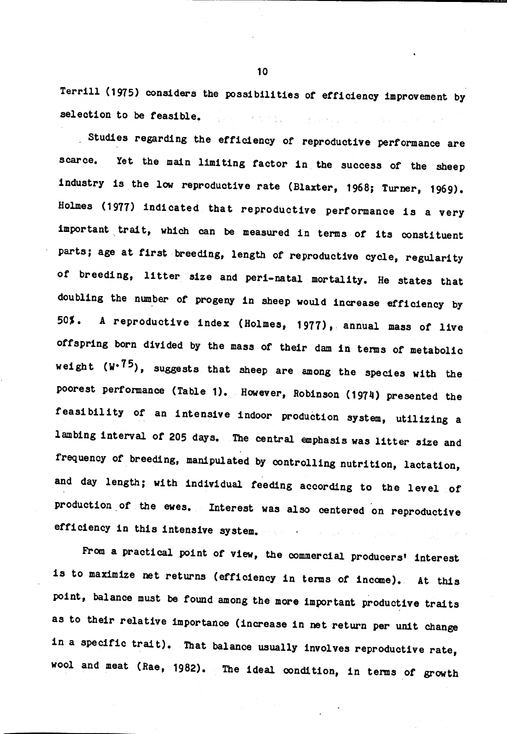Terrill (1975) considers the possibilities of efficiency improvement by selection to be feasible. We have a serious construction of the set

Studies regarding the efficiency of reproductive performance are Yet the main limiting factor in the success of the sheep scarce. industry is the low reproductive rate (Blaxter, 1968; Turner, 1969). Holmes (1977) indicated that reproductive performance is a very important trait, which can be measured in terms of its constituent parts; age at first breeding, length of reproductive cycle, regularity of breeding, litter size and peri-natal mortality. He states that doubling the number of progeny in sheep would increase efficiency by 50%. A reproductive index (Holmes, 1977), annual mass of live offspring born divided by the mass of their dam in terms of metabolic weight  $(W^{875})$ , suggests that sheep are among the species with the poorest performance (Table 1). However, Robinson (1974) presented the feasibility of an intensive indoor production system, utilizing a lambing interval of 205 days. The central emphasis was litter size and frequency of breeding, manipulated by controlling nutrition, lactation, and day length; with individual feeding according to the level of production of the ewes. Interest was also centered on reproductive efficiency in this intensive system.

From a practical point of view, the commercial producers' interest is to maximize net returns (efficiency in terms of income). At this point, balance must be found among the more important productive traits as to their relative importance (increase in net return per unit change in a specific trait). That balance usually involves reproductive rate, wool and meat (Rae, 1982). The ideal condition, in terms of growth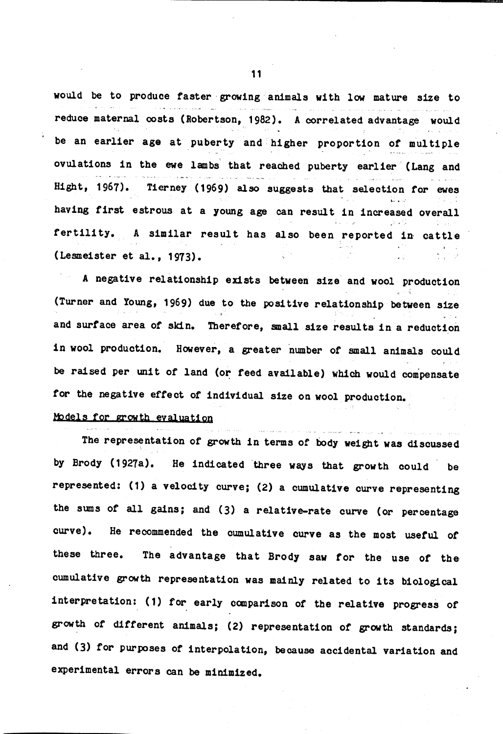would be to produce faster growing animals with low mature size to reduce maternal costs (Robertson, 1982). A correlated advantage would be an earlier age at puberty and higher proportion of multiple ovulations in the ewe lambs that reached puberty earlier (Lang and Hight, 1967). Tierney (1969) also suggests that selection for ewes having first estrous at a young age can result in increased overall fertility. A similar result has also been reported in cattle (Lesmeister et al., 1973).

A negative relationship exists between size and wool production (Turner and Young, 1969) due to the positive relationship between size and surface area of skin. Therefore, small size results in a reduction in wool production. However, a greater number of small animals could be raised per unit of land (or feed available) which would compensate for the negative effect of individual size on wool production.

## Models for growth evaluation

The representation of growth in terms of body weight was discussed by Brody (1927a). He indicated three ways that growth could be represented: (1) a velocity curve; (2) a cumulative curve representing the sums of all gains; and (3) a relative-rate curve (or percentage curve). He recommended the cumulative curve as the most useful of The advantage that Brody saw for the use of the these three. cumulative growth representation was mainly related to its biological interpretation: (1) for early comparison of the relative progress of growth of different animals; (2) representation of growth standards; and (3) for purposes of interpolation, because accidental variation and experimental errors can be minimized.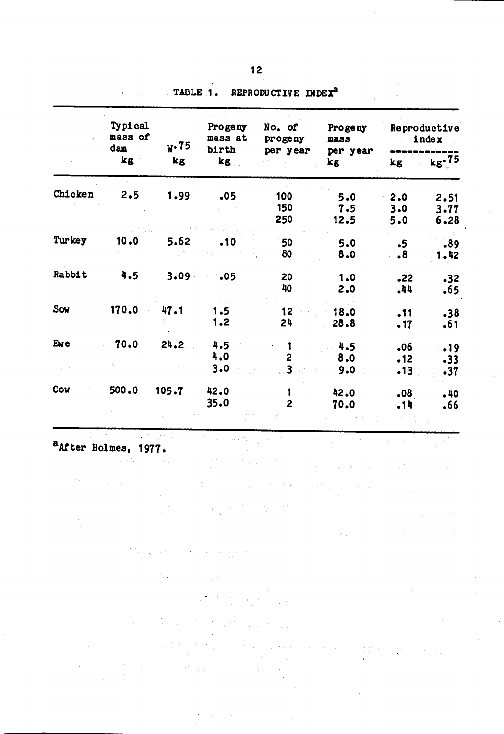|         | Typical<br>mass of<br>dam<br>$k$ g $^{-1}$ | V·75<br>kg | Progeny<br>mass at<br>birth<br>kg | No. of<br>progeny          | Progeny<br>mass    | Reproductive<br>index        |                      |
|---------|--------------------------------------------|------------|-----------------------------------|----------------------------|--------------------|------------------------------|----------------------|
|         |                                            |            |                                   | per year                   | per year<br>kg     | kg                           | $kg \cdot 75$        |
| Chicken | 2.5                                        | 1.99       | .05                               | 100<br><b>150</b><br>250   | 5.0<br>7.5<br>12.5 | 2.0<br>3.0<br>5.0            | 2.51<br>3.77<br>6,28 |
| Turkey  | 10.0                                       | 5.62       | .10                               | 50<br>80                   | 5.0<br>8.0         | $\cdot$ 5<br>$\ddot{\bm{8}}$ | .89<br>1.42          |
| Rabbit  | 4.5                                        | 3.09       | .05                               | 20<br>40                   | 1.0<br>2.0         | •22<br>.44                   | .32<br>.65           |
| Sow     | 170.0                                      | 47.1       | 1.5<br>1.2                        | 12<br>24                   | 18.0<br>28.8       | .11<br>.17                   | .38<br>.61           |
| Eve     | 70.0                                       | 24.2       | 4.5<br>4.0<br>3.0                 | $\mathbf{1}$<br>2<br>$3 -$ | 4.5<br>8.0<br>9.0  | .06<br>•12<br>.13            | .19<br>.33<br>.37    |
| Cow     | 500.0                                      | 105.7      | 42.0<br>35.0                      | 1<br>$\overline{2}$        | 42.0<br>70.0       | .08<br>.14                   | .40<br>.66           |

 $\alpha \in \mathbb{N}$ 

 $\mathcal{L}^{\text{max}}_{\text{max}}$  and  $\mathcal{L}^{\text{max}}_{\text{max}}$ 

 $\label{eq:2.1} \left\langle \left( \mathcal{S}_{\alpha} \right) \right\rangle \left( \mathcal{S}_{\alpha} \right) \left( \left( \mathcal{S}_{\alpha} \right) \right) \left( \left( \mathcal{S}_{\alpha} \right) \right) \left( \left( \mathcal{S}_{\alpha} \right) \right) \left( \left( \mathcal{S}_{\alpha} \right) \right) \left( \left( \mathcal{S}_{\alpha} \right) \right) \left( \mathcal{S}_{\alpha} \right) \left( \mathcal{S}_{\alpha} \right) \left( \mathcal{S}_{\alpha} \right) \left( \mathcal{S}_{\alpha} \right) \left( \mathcal{S$ 

 $\mathcal{N}^{\mathcal{I}}(\mathcal{C}^{\mathcal{I}}(\mathbb{R}^{n}))=\mathcal{N}^{\mathcal{I}}(\mathcal{I}(\mathcal{C}^{\mathcal{I}}(\mathbb{R}^{n}))\otimes\mathcal{I}^{\mathcal{I}}(\mathbb{R}^{n}))$ 

 $\label{eq:3.1} \P_{\mathcal{A}} = \mathbb{E} \left[ \left\{ \mathcal{A} \right\} \right] \left\{ \mathcal{A} \right\} \left\{ \mathcal{A} \right\} \left\{ \mathcal{A} \right\} \left\{ \mathcal{A} \right\} \left\{ \mathcal{A} \right\} \left\{ \mathcal{A} \right\} \left\{ \mathcal{A} \right\} \left\{ \mathcal{A} \right\} \left\{ \mathcal{A} \right\} \left\{ \mathcal{A} \right\} \left\{ \mathcal{A} \right\} \left\{ \mathcal{A} \right\} \left\{ \mathcal$ 

 $\frac{1}{2\pi}\frac{1}{2\pi}\left(2\pi\right)^{2}=\frac{1}{2\pi}\frac{1}{2\pi}$ 

 $\frac{1}{2}$  ,  $\frac{1}{2}$ 

 $\mathcal{L}^{\text{max}}_{\text{max}}$  , where  $\mathcal{L}^{\text{max}}_{\text{max}}$ 

2. 经经济和股票 化二氯

 $\sim 10^{-11}$ 

TABLE 1. REPRODUCTIVE INDEX<sup>a</sup>

anter Holmes, 1977.

 $\frac{1}{2} \frac{1}{\sqrt{2}} \frac{1}{2} \frac{1}{2} \frac{1}{2} \frac{1}{2} \frac{1}{2} \frac{1}{2} \frac{1}{2} \frac{1}{2} \frac{1}{2} \frac{1}{2} \frac{1}{2} \frac{1}{2} \frac{1}{2} \frac{1}{2} \frac{1}{2} \frac{1}{2} \frac{1}{2} \frac{1}{2} \frac{1}{2} \frac{1}{2} \frac{1}{2} \frac{1}{2} \frac{1}{2} \frac{1}{2} \frac{1}{2} \frac{1}{2} \frac{1}{2} \frac{1}{2} \frac{1}{2}$ 

 $T(\mathbf{F})$  ,  $T(\mathbf{F})$ 

 $\label{eq:2} \frac{\partial^2 \phi}{\partial x^2} = \frac{1}{2\pi} \left[ \frac{1}{2\pi} \left( \frac{\partial^2 \phi}{\partial x^2} + \frac{\partial^2 \phi}{\partial x^2} \right) \right] \frac{\partial^2 \phi}{\partial x^2} \, .$ 

 $\mathcal{O}(\log n) \leq \frac{1}{2}$ 

 $\alpha$  and  $\alpha$ 

 $\label{eq:2} \mathcal{L}_{\text{max}} = \mathcal{R}^{-1} \mathcal{L}_{\text{max}} \mathcal{L}_{\text{max}} = \mathcal{L}_{\text{max}} \mathcal{L}_{\text{max}}$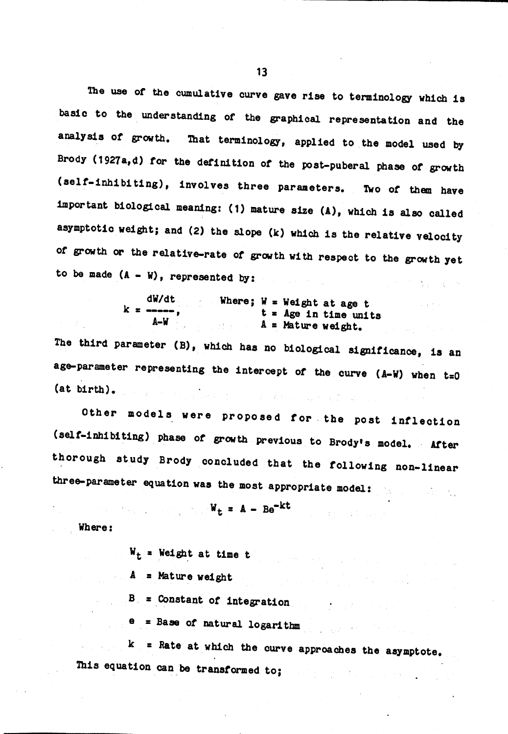The use of the cumulative curve gave rise to terminology which is basic to the understanding of the graphical representation and the analysis of growth. That terminology, applied to the model used by Brody (1927a, d) for the definition of the post-puberal phase of growth (self-inhibiting), involves three parameters. Two of them have important biological meaning: (1) mature size (A), which is also called asymptotic weight; and (2) the slope (k) which is the relative velocity of growth or the relative-rate of growth with respect to the growth yet to be made  $(A - W)$ , represented by:  $\label{eq:2.1} \mathcal{L}(\mathcal{A})=\mathcal{L}(\mathcal{A})\otimes\mathcal{L}(\mathcal{A})\otimes\mathcal{L}(\mathcal{A})\otimes\mathcal{L}(\mathcal{A}).$ 

$$
dW/dt
$$
 where;  $W =$  Weight at age t  
 $k =$  -  
 $A-W$  =  $A =$  Nature weight.

The third parameter (B), which has no biological significance, is an age-parameter representing the intercept of the curve  $(A-W)$  when  $t=0$  $(at)$  birth). .<br>De familien de la participation de la participation de la participation de la participation de la participatio

Other models were proposed for the post inflection (self-inhibiting) phase of growth previous to Brody's model. After thorough study Brody concluded that the following non-linear three-parameter equation was the most appropriate model:

$$
W_{\mathbf{t}} = A - Be^{-kt}
$$

Sales Brook Depart

The Community

 $\label{eq:2.1} \frac{1}{\sqrt{2}}\left(\frac{1}{\sqrt{2}}\right)^{2} \left(\frac{1}{\sqrt{2}}\right)^{2} \left(\frac{1}{\sqrt{2}}\right)^{2} \left(\frac{1}{\sqrt{2}}\right)^{2} \left(\frac{1}{\sqrt{2}}\right)^{2} \left(\frac{1}{\sqrt{2}}\right)^{2} \left(\frac{1}{\sqrt{2}}\right)^{2} \left(\frac{1}{\sqrt{2}}\right)^{2} \left(\frac{1}{\sqrt{2}}\right)^{2} \left(\frac{1}{\sqrt{2}}\right)^{2} \left(\frac{1}{\sqrt{2}}\right)^{2} \left(\$ 

Where:

 $W_t$  = Weight at time t

 $A = Nature weight$ 

 $B =$  Constant of integration

 $e$  = Base of natural logarithm

 $k =$  at which the curve approaches the asymptote. This equation can be transformed to;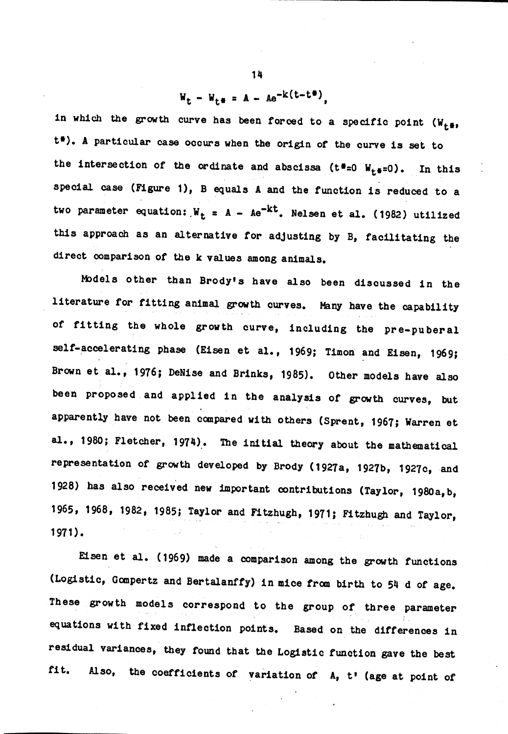# $W_t - W_{t\theta} = A - Ae^{-k(t-t\theta)},$

in which the growth curve has been forced to a specific point  $(W_{t+1})$ t\*). A particular case occurs when the origin of the curve is set to the intersection of the ordinate and abscissa ( $t^*$ =0  $W_{t^*}$ =0). In this special case (Figure 1), B equals A and the function is reduced to a two parameter equation:  $W_t = A - Ae^{-kt}$ . Nelsen et al. (1982) utilized this approach as an alternative for adjusting by B, facilitating the direct comparison of the k values among animals.

Models other than Brody's have also been discussed in the literature for fitting animal growth curves. Many have the capability of fitting the whole growth curve, including the pre-puberal self-accelerating phase (Eisen et al., 1969; Timon and Eisen, 1969; Brown et al., 1976; DeNise and Brinks, 1985). Other models have also been proposed and applied in the analysis of growth curves, but apparently have not been compared with others (Sprent, 1967; Warren et al., 1980; Fletcher, 1974). The initial theory about the mathematical representation of growth developed by Brody (1927a, 1927b, 1927c, and 1928) has also received new important contributions (Taylor, 1980a, b, 1965, 1968, 1982, 1985; Taylor and Fitzhugh, 1971; Fitzhugh and Taylor, 1971).

Eisen et al. (1969) made a comparison among the growth functions (Logistic, Gompertz and Bertalanffy) in mice from birth to 54 d of age. These growth models correspond to the group of three parameter equations with fixed inflection points. Based on the differences in residual variances, they found that the Logistic function gave the best fit. Also, the coefficients of variation of A, t' (age at point of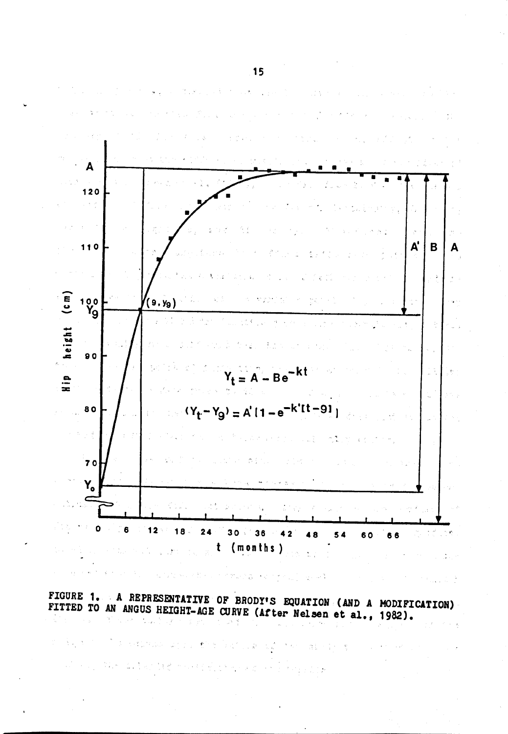

FIGURE 1. A REPRESENTATIVE OF BRODY'S EQUATION (AND A MODIFICATION)<br>FITTED TO AN ANGUS HEIGHT-AGE CURVE (After Nelsen et al., 1982).

Sample Story

त है।

 $\mathcal{C}=\S_{\mathcal{A}}$  is

 $\mathcal{D}$ 

 $\sim 1$ 

 $\frac{1}{12}\frac{1}{3}$  .

 $\sigma$  is a probability

 $1 + 8 -$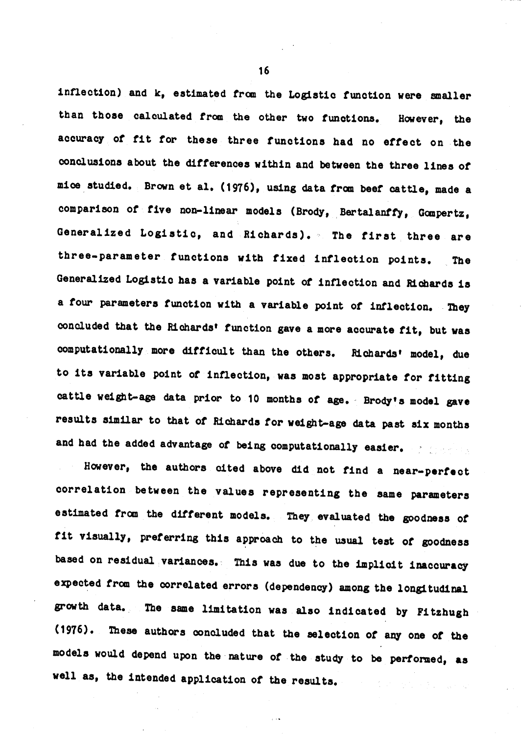inflection) and k, estimated from the Logistic function were smaller than those calculated from the other two functions. However, the accuracy of fit for these three functions had no effect on the conclusions about the differences within and between the three lines of mice studied. Brown et al. (1976), using data from beef cattle, made a comparison of five non-linear models (Brody, Bertalanffy, Gompertz, Generalized Logistic, and Richards). The first three are three-parameter functions with fixed inflection points. The Generalized Logistic has a variable point of inflection and Richards is a four parameters function with a variable point of inflection. They concluded that the Richards' function gave a more accurate fit, but was computationally more difficult than the others. Richards' model, due to its variable point of inflection, was most appropriate for fitting cattle weight-age data prior to 10 months of age. Brody's model gave results similar to that of Richards for weight-age data past six months and had the added advantage of being computationally easier.

However, the authors cited above did not find a near-perfect correlation between the values representing the same parameters estimated from the different models. They evaluated the goodness of fit visually, preferring this approach to the usual test of goodness based on residual variances. This was due to the implicit inaccuracy expected from the correlated errors (dependency) among the longitudinal growth data. The same limitation was also indicated by Fitzhugh (1976). These authors concluded that the selection of any one of the models would depend upon the nature of the study to be performed, as well as, the intended application of the results.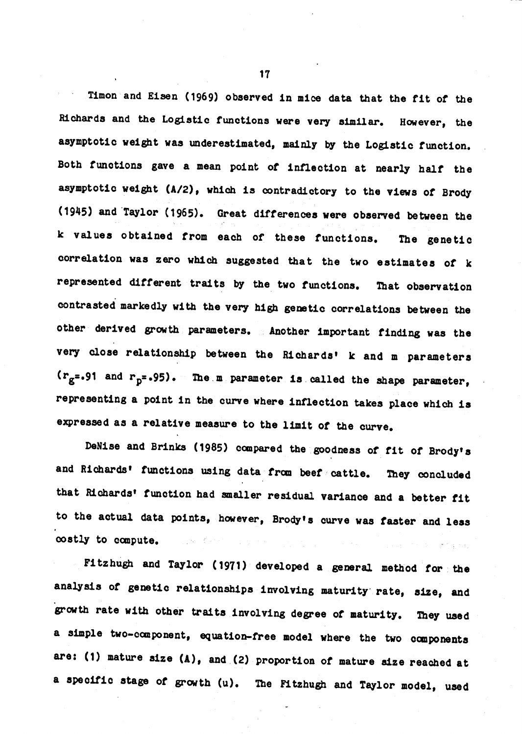Timon and Eisen (1969) observed in mice data that the fit of the Richards and the Logistic functions were very similar. However, the asymptotic weight was underestimated, mainly by the Logistic function. Both functions gave a mean point of inflection at nearly half the asymptotic weight (A/2), which is contradictory to the views of Brody (1945) and Taylor (1965). Great differences were observed between the k values obtained from each of these functions. The genetic correlation was zero which suggested that the two estimates of k represented different traits by the two functions. That observation contrasted markedly with the very high genetic correlations between the other derived growth parameters. Another important finding was the very close relationship between the Richards' k and m parameters  $(r_g=.91$  and  $r_b=.95$ ). The m parameter is called the shape parameter, representing a point in the curve where inflection takes place which is expressed as a relative measure to the limit of the curve.

DeNise and Brinks (1985) compared the goodness of fit of Brody's and Richards' functions using data from beef cattle. They concluded that Richards' function had smaller residual variance and a better fit to the actual data points, however, Brody's curve was faster and less costly to compute.  $\sim 10^{11}$  at

Fitzhugh and Taylor (1971) developed a general method for the analysis of genetic relationships involving maturity rate, size, and growth rate with other traits involving degree of maturity. They used a simple two-component, equation-free model where the two components are: (1) mature size (A), and (2) proportion of mature size reached at a specific stage of growth (u). The Fitzhugh and Taylor model, used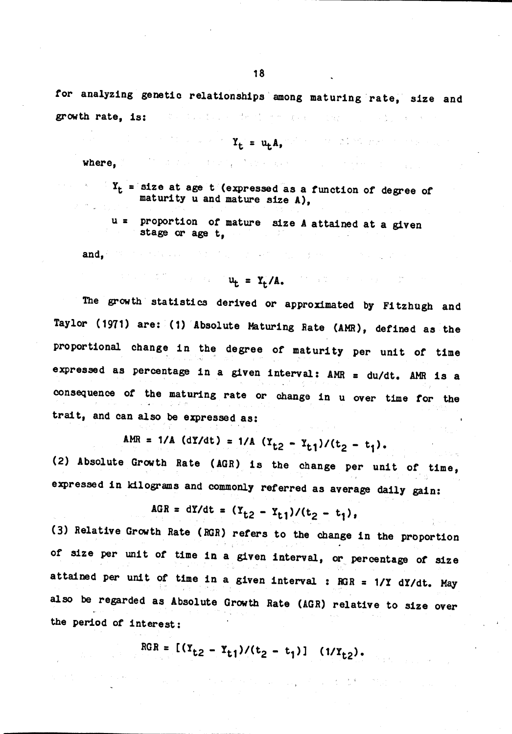for analyzing genetic relationships among maturing rate, size and growth rate, is: State Constantine March 1980, Card (1942)

$$
Y_{+} = u_{+}A_{-}
$$

ストー まんがくしゃ きょうえいきょう ハード

where.

 $Y_t$  = size at age t (expressed as a function of degree of maturity u and mature size A),

 $\label{eq:2.1} \left\langle \left\langle \psi_{\mathcal{G}} \right\rangle \right\rangle = \left\langle \left\langle \mathbf{w} \right\rangle^{\mathrm{T}} \right\rangle \left\langle \left\langle \psi_{\mathcal{G}} \right\rangle \right\rangle = \left\langle \left\langle \psi_{\mathcal{G}} \right\rangle \right\rangle \left\langle \psi_{\mathcal{G}} \right\rangle.$ 

of the state of

u = proportion of mature size A attained at a given stage or age t.

and. The company of the company

$$
u_{t} = Y_{t}/A_{t}
$$

(医加拿大) 医无心神经 医无子宫神经

The growth statistics derived or approximated by Fitzhugh and Taylor (1971) are: (1) Absolute Maturing Rate (AMR), defined as the proportional change in the degree of maturity per unit of time expressed as percentage in a given interval: AMR = du/dt. AMR is a consequence of the maturing rate or change in u over time for the trait, and can also be expressed as:

$$
AMR = 1/A (dY/dt) = 1/A (Y_{t2} - Y_{t1})/(t_2 - t_1).
$$

(2) Absolute Growth Rate (AGR) is the change per unit of time, expressed in kilograms and commonly referred as average daily gain:

$$
AGR = dY/dt = (Y_{t,2} - Y_{t,1})/(t_2 - t_1),
$$

(3) Relative Growth Rate (RGR) refers to the change in the proportion of size per unit of time in a given interval, or percentage of size attained per unit of time in a given interval : RGR = 1/Y dY/dt. May also be regarded as Absolute Growth Rate (AGR) relative to size over the period of interest:

$$
RGR = [(Y_{t2} - Y_{t1})/(t_2 - t_1)] (1/Y_{t2}).
$$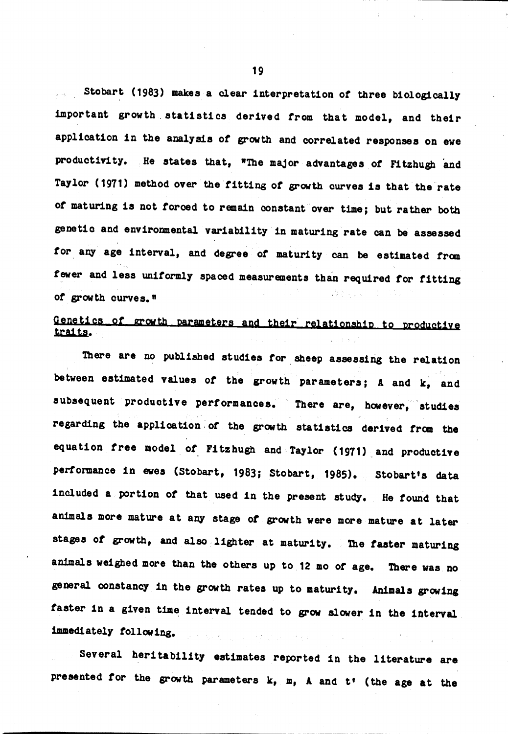Stobart (1983) makes a clear interpretation of three biologically important growth statistics derived from that model, and their application in the analysis of growth and correlated responses on ewe productivity. He states that, "The major advantages of Fitzhugh and Taylor (1971) method over the fitting of growth curves is that the rate of maturing is not forced to remain constant over time; but rather both genetic and environmental variability in maturing rate can be assessed for any age interval, and degree of maturity can be estimated from fewer and less uniformly spaced measurements than required for fitting of growth curves."

## Genetics of growth parameters and their relationship to productive traits.

There are no published studies for sheep assessing the relation between estimated values of the growth parameters; A and k, and subsequent productive performances. There are, however, studies regarding the application of the growth statistics derived from the equation free model of Fitzhugh and Taylor (1971) and productive performance in ewes (Stobart, 1983; Stobart, 1985). Stobart's data included a portion of that used in the present study. He found that animals more mature at any stage of growth were more mature at later stages of growth, and also lighter at maturity. The faster maturing animals weighed more than the others up to 12 mo of age. There was no general constancy in the growth rates up to maturity. Animals growing faster in a given time interval tended to grow slower in the interval immediately following.  $\mathcal{A}=\mathcal{A}(\mathcal{A})$  ,  $\mathcal{A}(\mathcal{A})$ . Says

Several heritability estimates reported in the literature are presented for the growth parameters k, m, A and t' (the age at the

19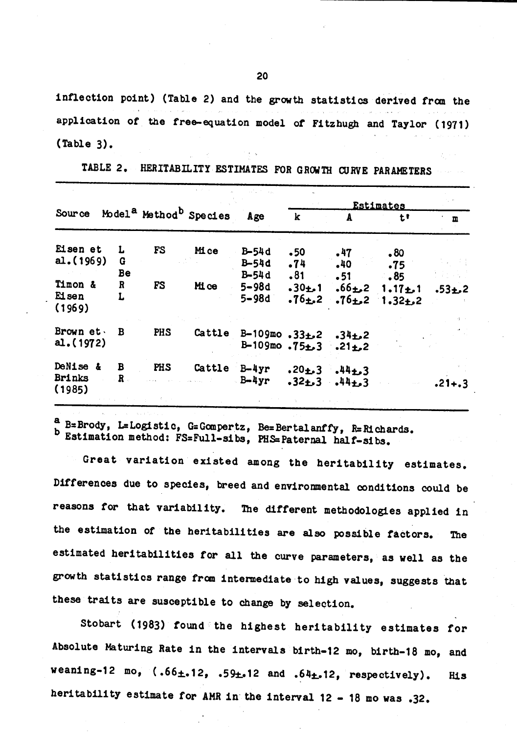inflection point) (Table 2) and the growth statistics derived from the application of the free-equation model of Fitzhugh and Taylor (1971)  $(Table 3).$ 

|                                     |              |            |                                                |                                                         |                                  |                                 | <b>Estimates</b>                                  |            |  |
|-------------------------------------|--------------|------------|------------------------------------------------|---------------------------------------------------------|----------------------------------|---------------------------------|---------------------------------------------------|------------|--|
| <b>Source</b>                       |              |            | Model <sup>a</sup> Method <sup>b</sup> Species | Age                                                     | k                                | A                               | tι                                                | m          |  |
| Eisen et<br>al.(1969)               | L<br>G<br>Be | FS         | Mi ce                                          | $B-54d$<br>$B-54d$                                      | •50<br>.74                       | .47<br>$.40 -$                  | $\cdot 80$<br>.75                                 |            |  |
| Timon &<br>Eisen<br>(1969)          | R<br>L       | <b>FS</b>  | Mi ce                                          | $B-54d$<br>$5 - 98d$<br>$5 - 98d$                       | .81<br>$.30 + 1$<br>$.76 \pm .2$ | .51<br>$.76 \pm .2$             | .85<br>$.66 \pm 2 \quad 1.17 \pm 1$<br>$1.32 + 2$ | $-53 + 2$  |  |
| Brown et.<br>al. (1972)             | B            | PHS        | Cattle                                         | $B-109$ mo.33 $\pm$ 2<br>$B-109$ mo. $75L.3$ . 21 $L.2$ |                                  | $.34 \pm .2$                    |                                                   |            |  |
| DeNise &<br><b>Brinks</b><br>(1985) | B<br>R.      | <b>PHS</b> | Cattle                                         | $B-4yr$<br>$-B-4yr$                                     | $.20 + 3$                        | $44+3$<br>$.32 + .3$ $.44 + .3$ |                                                   | $.21 + .3$ |  |

TABLE 2. HERITABILITY ESTIMATES FOR GROWTH CURVE PARAMETERS

a B=Brody, L=Logistic, G=Gompertz, Be=Bertalanffy, R=Richards. b Estimation method: FS=Full-sibs, PHS=Paternal half-sibs.

Great variation existed among the heritability estimates. Differences due to species, breed and environmental conditions could be reasons for that variability. The different methodologies applied in the estimation of the heritabilities are also possible factors. The estimated heritabilities for all the curve parameters, as well as the growth statistics range from intermediate to high values, suggests that these traits are susceptible to change by selection.

Stobart (1983) found the highest heritability estimates for Absolute Maturing Rate in the intervals birth-12 mo, birth-18 mo, and weaning-12 mo,  $(.66\text{±}.12, .59\text{±}.12$  and  $.64\text{±}.12,$  respectively). **His** heritability estimate for AMR in the interval 12 - 18 mo was .32.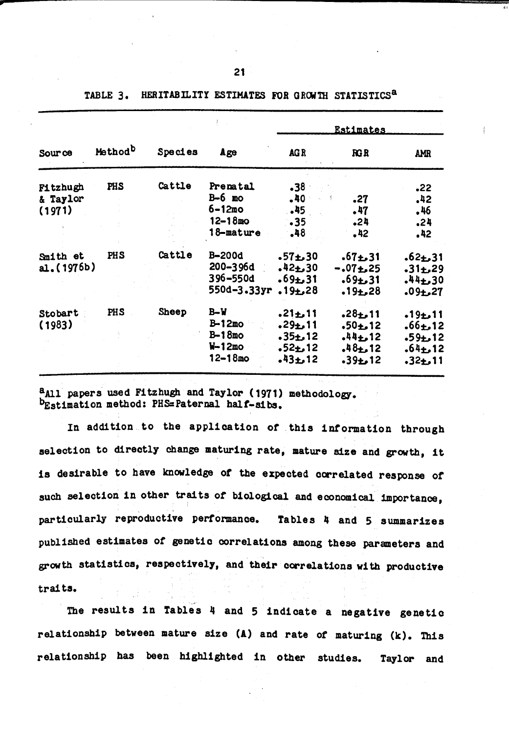|                                       |                     |              |                                                           | <b>Estimates</b>                                                       |                                                                       |                                                                           |  |  |  |  |  |
|---------------------------------------|---------------------|--------------|-----------------------------------------------------------|------------------------------------------------------------------------|-----------------------------------------------------------------------|---------------------------------------------------------------------------|--|--|--|--|--|
| Source                                | Method <sup>b</sup> | Species      | Age                                                       | AGR                                                                    | RGR                                                                   | <b>AMR</b>                                                                |  |  |  |  |  |
| <b>Fitzhugh</b><br>& Taylor<br>(1971) | PHS                 | Cattle       | Prenatal<br>$B-6$ mo<br>$6 - 12me$<br>$12 - 18$ mo        | .38<br>.40<br>.45<br>$\cdot$ 35                                        | .27<br>.47<br>.24                                                     | .22<br>.42<br>.46<br>.24                                                  |  |  |  |  |  |
|                                       |                     |              | 18-mature                                                 | .48                                                                    | .42                                                                   | .42                                                                       |  |  |  |  |  |
| Smith et<br>a1.(1976b)                | PHS                 | Cattle       | B-200d<br>200–396d<br>396-550d<br>550d-3.33yr             | $.57 + .30$<br>$.42 + .30$<br>$.69 + .31$<br>$.19 + 28$                | $.67 + .31$<br>$-.07 + .25$<br>$.69 + .31$<br>$.19 + .28$             | $.62 + .31$<br>$-31 + 29$<br>$44 + 30$<br>$.09 + .27$                     |  |  |  |  |  |
| Stobart<br>(1983)                     | PHS                 | <b>Sheep</b> | $B-W$<br>$B-12mo$<br>$B-18mo$<br>$W-12mo$<br>$12 - 18$ mo | $.21 + .11$<br>$.29 + .11$<br>$.35 + 12$<br>$.52 + .12$<br>$.43 + .12$ | $.28 + .11$<br>$.50 + 12$<br>$.44 + .12$<br>$.48 + .12$<br>$-39 + 12$ | $.19 + .11$<br>$.66 \pm 12$<br>$.59 + 12$<br>$.64 \pm .12$<br>$.32 + .11$ |  |  |  |  |  |

HERITABILITY ESTIMATES FOR GROWTH STATISTICS<sup>a</sup> TABLE 3.

<sup>2</sup>All papers used Fitzhugh and Taylor (1971) methodology. bEstimation method: PHS=Paternal half-sibs.

In addition to the application of this information through selection to directly change maturing rate, mature size and growth, it is desirable to have knowledge of the expected correlated response of such selection in other traits of biological and economical importance. particularly reproductive performance. Tables 4 and 5 summarizes published estimates of genetic correlations among these parameters and growth statistics, respectively, and their correlations with productive traits.

The results in Tables 4 and 5 indicate a negative genetic relationship between mature size (A) and rate of maturing (k). This relationship has been highlighted in other studies. Taylor and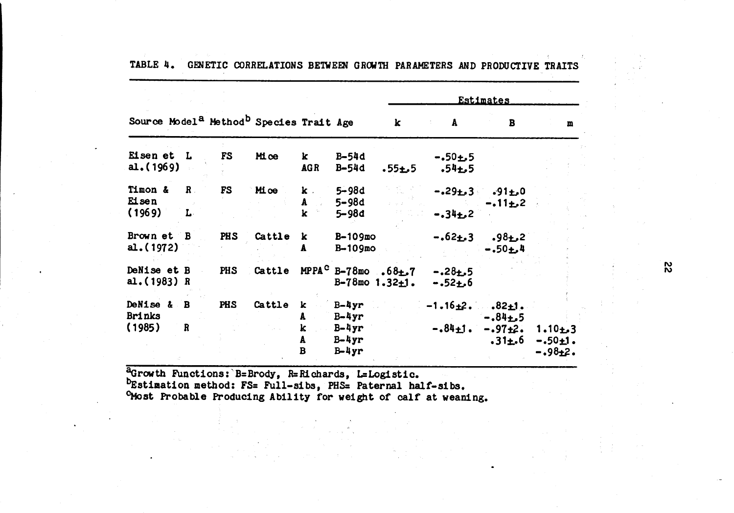|                                    |                              |            |                                                                 |                                                |                                 | <b>Estimates</b>                                              |                               |                                           |                                    |  |  |  |  |  |
|------------------------------------|------------------------------|------------|-----------------------------------------------------------------|------------------------------------------------|---------------------------------|---------------------------------------------------------------|-------------------------------|-------------------------------------------|------------------------------------|--|--|--|--|--|
|                                    |                              |            | Source Model <sup>a</sup> Method <sup>b</sup> Species Trait Age |                                                |                                 | $\mathbf k$                                                   | A                             | B                                         | m                                  |  |  |  |  |  |
| Eisen et L<br>a1.(1969)            |                              | FS         | Mice                                                            | $\bf k$<br><b>AGR</b>                          | B-54d<br>B-54d                  | $.55 + .5$                                                    | $-.50 + .5$<br>$.54 + .5$     |                                           |                                    |  |  |  |  |  |
| Timon &<br><b>Ei</b> sen<br>(1969) | $\mathbf{R}$<br>$\mathbf{L}$ | <b>FS</b>  | Mice                                                            | $\mathbf{k}$ .<br>A<br>$\overline{\mathbf{k}}$ | $5 - 98d$<br>5-98d<br>$5 - 98d$ |                                                               | $-.34 + .2$                   | $-.29 \pm .3-.91 \pm .0$<br>$-.11 \pm .2$ |                                    |  |  |  |  |  |
| Brown et B<br>a. (1972)            |                              | <b>PHS</b> | Cattle                                                          | k<br>A                                         | $B-109$ mo<br>$B-109$ mo        |                                                               | $-.62 \pm .3$                 | $.98 + 2$<br>$-.50 + .4$                  |                                    |  |  |  |  |  |
| DeNise et B<br>al. $(1983)$ R      |                              | PHS        | Cattle                                                          |                                                |                                 | MPPA <sup>C</sup> B-78mo .68 $\pm$ .7<br>$B-78$ mo $1.32+1$ . | $-.28+.5$<br>$-.52 + .6$      |                                           |                                    |  |  |  |  |  |
| DeNise & B<br><b>Brinks</b>        |                              | PHS        | Cattle                                                          | k<br>A                                         | $B-4yr$<br>$B-4yr$              |                                                               | $-1.16 \pm 2$ . $.82 \pm 1$ . | $-0.84 + 5$                               |                                    |  |  |  |  |  |
| (1985)                             | $\mathbf R$                  |            |                                                                 | k<br>A<br>$\overline{B}$                       | $B-4yr$<br>$B-4yr$<br>$B-4yr$   |                                                               |                               | $-.84 \pm 1. -.97 \pm 2.$<br>$.31 \pm .6$ | $1.10 + 3$<br>$-.50+1.$<br>-.98±2. |  |  |  |  |  |

TABLE 4. GENETIC CORRELATIONS BETWEEN GROWTH PARAMETERS AND PRODUCTIVE TRAITS

aGrowth Functions: B=Brody, R=Richards, L=Logistic.<br>DEstination method: FS= Full-sibs, PHS= Paternal half-sibs.<br>CMost Probable Producing Ability for weight of calf at weaming.

 $\frac{1}{2}$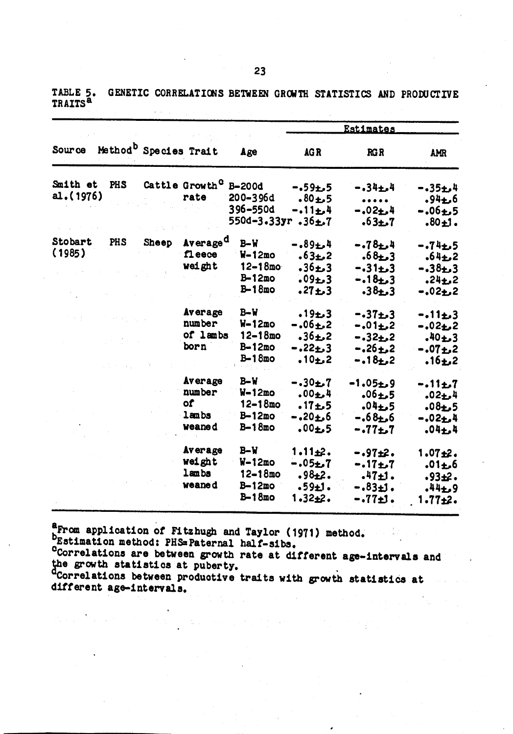**Estimates** Source Method<sup>b</sup> Species Trait Age AGR  $R G R$ **AMR** Cattle Growth<sup>C</sup> B-200d Smith et PHS  $-.59 + .5$  $-.34 + .4$  $-.35 + .4$ al. (1976) rate 200-396d  $.80 + 5$  $.94 + 6$ 396-550d  $-.11 \pm .4$  $-.02 + .4$  $-.06 + .5$ 550d-3.33yr.36±.7 7م±63.  $.80 + 1.$ Stobart PHS Average<sup>d</sup> **Sheep**  $B-W$  $-.89 + .4$  $-.74 + .5$  $-.78 + .4$  $(1985)$ f1 eece  $W-12mo$  $.63 + 2$  $.68 + 3$  $.64 + 2$ weight  $12 - 18$ mo  $-0.31 + 3$  $.36 + 3$  $-.38+.3$  $B-12mo$  $.09 + 3$  $-18 + 3$  $.24 + .2$  $B-18mo$  $.27 + .3$  $-.02<sub>1</sub>2$  $.38 + .3$ **Average**  $B-W$  $.19 + 3$  $-.37 + .3$  $-.11 + .3$ number  $W-12mo$  $-.06 + .2$  $-.01 \pm .2$  $-.02+2$ of lambs  $12 - 18mo$  $.36 \pm .2$  $-.32 + .2$  $.40 + 3$ born  $B-12mo$  $-.22...3$  $-.26 \pm .2$  $-.07+.2$ В-18то  $.10 + 2$  $-.18 \pm .2$  $.16 + 2$ Average  $B-W$  $-.30 + .7$  $-1.05 + 9$  $-.11 + .7$ number  $W-12mo$  $.00 + 4$  $.06 + 5$  $.02 + 4$ **of**  $12 - 18$ mo  $.17 + .5$  $.04 + .5$  $.08 + .5$ lambs  $B-12mo$  $-.20 + .6$  $-0.68 + 6$  $-.02 + .4$ weaned  $B-18mo$  $.00 + 5$  $-.77 + .7$  $.04 + 4$ Average  $B-W$  $1.11±2.$  $-.97±2.$  $1.07 + 2.$ weight  $W-12mo$  $-.05 + .7$  $-.17 + .7$  $.01 + .6$ lambs  $12 - 18$ mo  $.98 + 2.$  $.47 + 1.$  $.93 + 2.$ weaned  $B-12mo$  $.59±1.$ -.83±1.  $.44 + .9$  $B-18mo$  $1.32 + 2.$  $-.77±1.$  $1.77 + 2.$ 

GENETIC CORRELATIONS BETWEEN GROWTH STATISTICS AND PRODUCTIVE TABLE 5. TRAITS<sup>a</sup>

a From application of Fitzhugh and Taylor (1971) method.

bEstimation method: PHS=Paternal half-sibs.

<sup>o</sup>Correlations are between growth rate at different age-intervals and the growth statistics at puberty.<br>"Correlations between productive traits with growth statistics at

different age-intervals.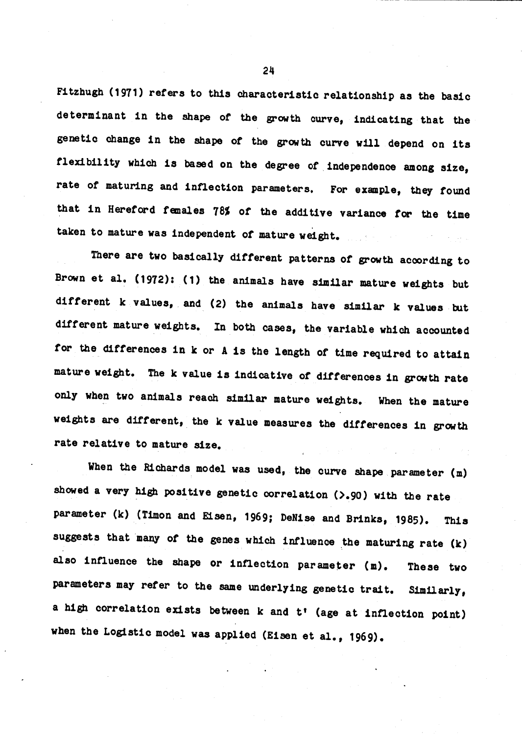Fitzhugh (1971) refers to this characteristic relationship as the basic determinant in the shape of the growth curve, indicating that the genetic change in the shape of the growth curve will depend on its flexibility which is based on the degree of independence among size, rate of maturing and inflection parameters. For example, they found that in Hereford females 78% of the additive variance for the time taken to mature was independent of mature weight.

There are two basically different patterns of growth according to Brown et al. (1972): (1) the animals have similar mature weights but different k values, and (2) the animals have similar k values but different mature weights. In both cases, the variable which accounted for the differences in k or A is the length of time required to attain mature weight. The k value is indicative of differences in growth rate only when two animals reach similar mature weights. When the mature weights are different, the k value measures the differences in growth rate relative to mature size.

When the Richards model was used, the curve shape parameter (m) showed a very high positive genetic correlation (>.90) with the rate parameter (k) (Timon and Eisen, 1969; DeNise and Brinks, 1985). This suggests that many of the genes which influence the maturing rate (k) also influence the shape or inflection parameter (m). These two parameters may refer to the same underlying genetic trait. Similarly, a high correlation exists between k and t' (age at inflection point) when the Logistic model was applied (Eisen et al., 1969).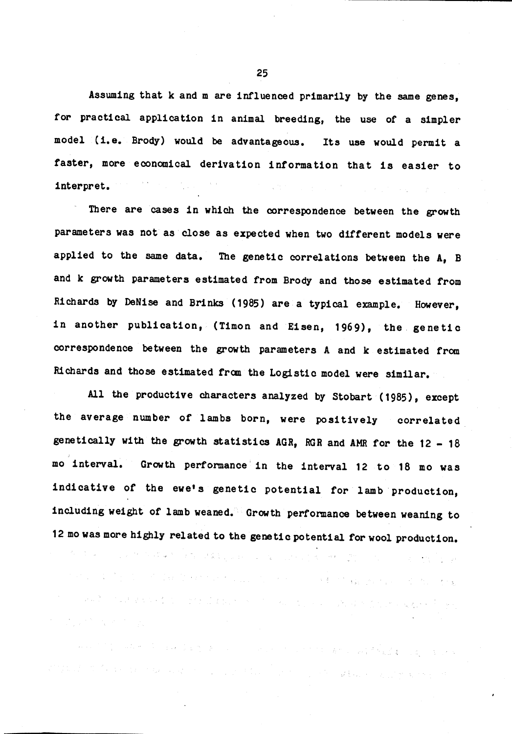Assuming that k and m are influenced primarily by the same genes, for practical application in animal breeding, the use of a simpler model (i.e. Brody) would be advantageous. Its use would permit a faster, more economical derivation information that is easier to interpret.

There are cases in which the correspondence between the growth parameters was not as close as expected when two different models were applied to the same data. The genetic correlations between the A, B and k growth parameters estimated from Brody and those estimated from Richards by DeNise and Brinks (1985) are a typical example. However, in another publication, (Timon and Eisen, 1969), the genetic correspondence between the growth parameters A and k estimated from Richards and those estimated from the Logistic model were similar.

All the productive characters analyzed by Stobart (1985), except the average number of lambs born, were positively correlated genetically with the growth statistics AGR, RGR and AMR for the 12 - 18 mo interval. Growth performance in the interval 12 to 18 mo was indicative of the ewe's genetic potential for lamb production, including weight of lamb weaned. Growth performance between weaning to 12 mo was more highly related to the genetic potential for wool production.

的现在分词 "你们的,你们的现在是我们的人,我们的人,你们的人,你们的人都会不是什么?" 化乙酰胺 。""我们的,我们是我们的人,我们就会把他们的人。""我们的,你们的人,我们的人们的人,我们的<sup>人们</sup>的人 

的复数"我们的事"。 经有限收款 医血管下皮 医血管性白色 医血管的 STO

"我的,你们是一个好的。"我们的话,我们看到了这个人,一个人的人,你们的人们的人都不是一种的人的事。 医氯化亚胺 a ng kalamatan ng kabupatèn Kabupatèn Kalèndhereng Kabupatèn Kalèndhereng Kabupatèn Kalèndhereng Kabupatèn Kab

25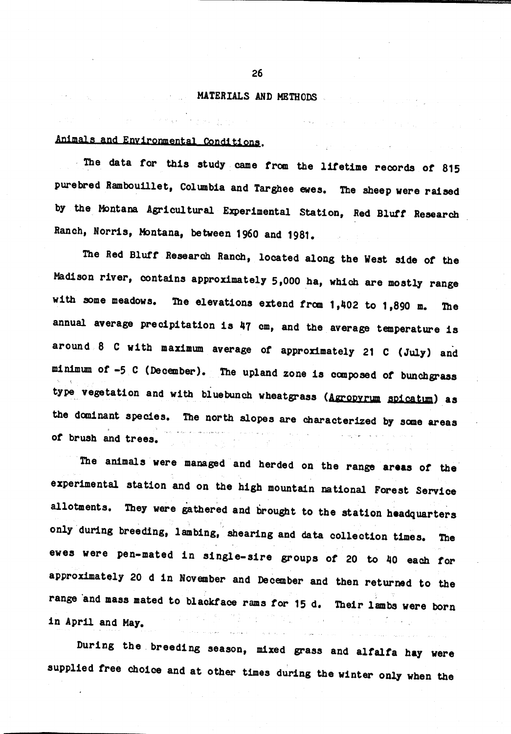## **Excessive MATERIALS AND METHODS**

 $\mathcal{L}^{\mathcal{L}}(\mathcal{S})$  and  $\mathcal{L}^{\mathcal{L}}(\mathcal{S})$  and  $\mathcal{L}^{\mathcal{L}}(\mathcal{S})$  and  $\mathcal{L}^{\mathcal{L}}(\mathcal{S})$ 

## Animals and Environmental Conditions.

Proposed a contract of the

The data for this study came from the lifetime records of 815 purebred Rambouillet, Columbia and Targhee ewes. The sheep were raised by the Montana Agricultural Experimental Station, Red Bluff Research Ranch, Norris, Montana, between 1960 and 1981.

The Red Bluff Research Ranch, located along the West side of the Madison river, contains approximately 5,000 ha, which are mostly range with some meadows. The elevations extend from  $1,402$  to  $1,890$  m. The annual average precipitation is 47 cm, and the average temperature is around 8 C with maximum average of approximately 21 C (July) and minimum of -5 C (December). The upland zone is composed of bunchgrass type vegetation and with bluebunch wheatgrass (Agropyrum spicatum) as the dominant species. The north slopes are characterized by some areas of brush and trees.

The animals were managed and herded on the range areas of the experimental station and on the high mountain national Forest Service allotments. They were gathered and brought to the station headquarters only during breeding, lambing, shearing and data collection times. The ewes were pen-mated in single-sire groups of 20 to 40 each for approximately 20 d in November and December and then returned to the range and mass mated to blackface rams for 15 d. Their lambs were born in April and May.

During the breeding season, mixed grass and alfalfa hay were supplied free choice and at other times during the winter only when the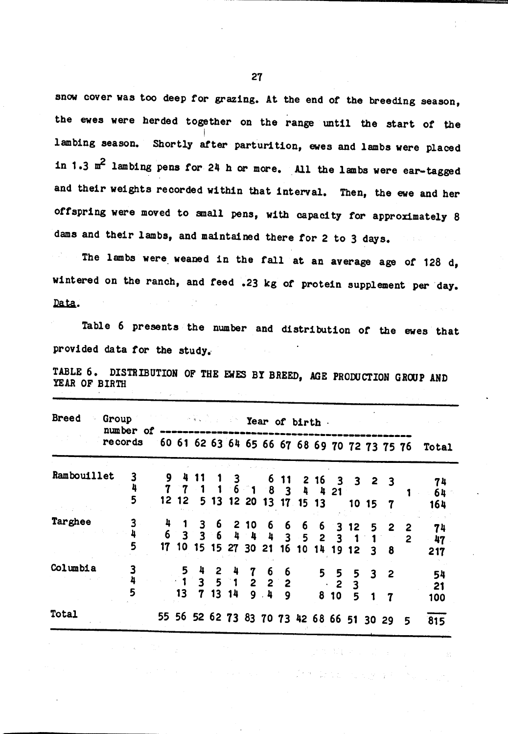snow cover was too deep for grazing. At the end of the breeding season, the ewes were herded together on the range until the start of the lambing season. Shortly after parturition, ewes and lambs were placed in 1.3 m<sup>2</sup> lambing pens for 24 h or more. All the lambs were ear-tagged and their weights recorded within that interval. Then, the ewe and her offspring were moved to small pens, with capacity for approximately 8 dams and their lambs, and maintained there for 2 to 3 days.

The lambs were weaned in the fall at an average age of 128 d, wintered on the ranch, and feed .23 kg of protein supplement per day. Data.

Table 6 presents the number and distribution of the ewes that provided data for the study.

TABLE 6. DISTRIBUTION OF THE EWES BY BREED, AGE PRODUCTION GROUP AND YEAR OF BIRTH

| <b>Breed</b> | Group<br>number of<br>records |        | <b>Sold in Year of birth.</b> |         |       |  |                                                                                                   |  |                 |  |  |  |                             |                                             |       |              |                                              |                 |
|--------------|-------------------------------|--------|-------------------------------|---------|-------|--|---------------------------------------------------------------------------------------------------|--|-----------------|--|--|--|-----------------------------|---------------------------------------------|-------|--------------|----------------------------------------------|-----------------|
|              |                               |        |                               |         |       |  |                                                                                                   |  |                 |  |  |  |                             |                                             |       |              | 60 61 62 63 64 65 66 67 68 69 70 72 73 75 76 | Total           |
| Rambouillet  |                               | 3<br>5 |                               |         |       |  | $9$ 4 11 1 3 6 11 2 16 3 3 2 3<br>7 7 1 1 6 1 8 3 4 4 21<br>12 12 5 13 12 20 13 17 15 13          |  |                 |  |  |  |                             |                                             | 10157 |              |                                              | 74<br>64<br>164 |
| Targhee      |                               | 3<br>5 |                               |         |       |  | 4 1 3 6 2 10 6 6 6 6 3 12<br>$6$ 3 3 6 4 4 4 3 5 2 3 1<br>17 10 15 15 27 30 21 16 10 14 19 12 3 8 |  |                 |  |  |  |                             |                                             | 5.    | - 2          | 2                                            | 74<br>47<br>217 |
| Columbia     |                               | 5      |                               | $13-13$ | 5 4 2 |  | 1351222<br>7 13 14                                                                                |  | 4 7 6 6<br>9.49 |  |  |  | $\ddot{\textbf{2}}$<br>8 10 | $5$ 5 5 3 2<br>$\overline{\mathbf{3}}$<br>5 |       | $\mathbf{7}$ |                                              | 54<br>21<br>100 |
| Total        |                               |        |                               |         |       |  | 55 56 52 62 73 83 70 73 42 68 66 51 30 29                                                         |  |                 |  |  |  |                             |                                             |       |              | 5                                            | 815             |

**SECTION AND STATE**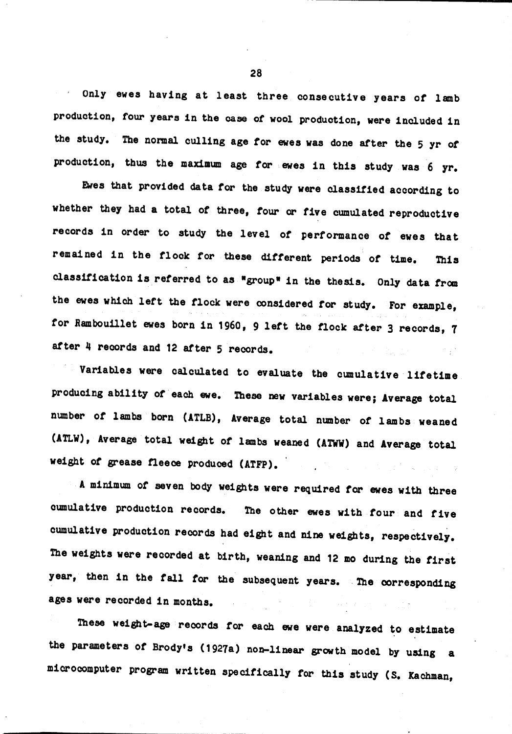Only ewes having at least three consecutive years of lamb production, four years in the case of wool production, were included in the study. The normal culling age for ewes was done after the 5 yr of production, thus the maximum age for ewes in this study was 6 yr.

Ewes that provided data for the study were classified according to whether they had a total of three, four or five cumulated reproductive records in order to study the level of performance of ewes that remained in the flock for these different periods of time. This classification is referred to as "group" in the thesis. Only data from the ewes which left the flock were considered for study. For example, for Rambouillet ewes born in 1960, 9 left the flock after 3 records, 7 after 4 records and 12 after 5 records.

Variables were calculated to evaluate the cumulative lifetime producing ability of each ewe. These new variables were; Average total number of lambs born (ATLB), Average total number of lambs weaned (ATLW), Average total weight of lambs weaned (ATWW) and Average total weight of grease fleece produced (ATFP). a na Pa

A minimum of seven body weights were required for ewes with three cumulative production records. The other ewes with four and five cumulative production records had eight and nine weights, respectively. The weights were recorded at birth, weaning and 12 mo during the first year, then in the fall for the subsequent years. The corresponding ages were recorded in months.  $\alpha_{\rm{max}}$  and  $\alpha_{\rm{max}}$ 

These weight-age records for each ewe were analyzed to estimate the parameters of Brody's (1927a) non-linear growth model by using a microcomputer program written specifically for this study (S. Kachman,

28